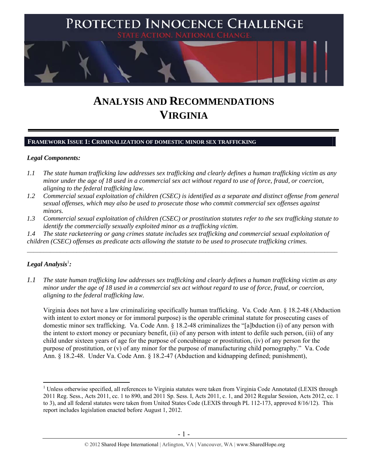

# **ANALYSIS AND RECOMMENDATIONS VIRGINIA**

#### **FRAMEWORK ISSUE 1: CRIMINALIZATION OF DOMESTIC MINOR SEX TRAFFICKING**

#### *Legal Components:*

- *1.1 The state human trafficking law addresses sex trafficking and clearly defines a human trafficking victim as any minor under the age of 18 used in a commercial sex act without regard to use of force, fraud, or coercion, aligning to the federal trafficking law.*
- *1.2 Commercial sexual exploitation of children (CSEC) is identified as a separate and distinct offense from general sexual offenses, which may also be used to prosecute those who commit commercial sex offenses against minors.*
- *1.3 Commercial sexual exploitation of children (CSEC) or prostitution statutes refer to the sex trafficking statute to identify the commercially sexually exploited minor as a trafficking victim.*

 $\mathcal{L}_\mathcal{L} = \{ \mathcal{L}_\mathcal{L} = \{ \mathcal{L}_\mathcal{L} = \{ \mathcal{L}_\mathcal{L} = \{ \mathcal{L}_\mathcal{L} = \{ \mathcal{L}_\mathcal{L} = \{ \mathcal{L}_\mathcal{L} = \{ \mathcal{L}_\mathcal{L} = \{ \mathcal{L}_\mathcal{L} = \{ \mathcal{L}_\mathcal{L} = \{ \mathcal{L}_\mathcal{L} = \{ \mathcal{L}_\mathcal{L} = \{ \mathcal{L}_\mathcal{L} = \{ \mathcal{L}_\mathcal{L} = \{ \mathcal{L}_\mathcal{$ 

*1.4 The state racketeering or gang crimes statute includes sex trafficking and commercial sexual exploitation of children (CSEC) offenses as predicate acts allowing the statute to be used to prosecute trafficking crimes.* 

# $\bm{L}$ egal Analysis<sup>1</sup>:

 $\overline{a}$ 

*1.1 The state human trafficking law addresses sex trafficking and clearly defines a human trafficking victim as any minor under the age of 18 used in a commercial sex act without regard to use of force, fraud, or coercion, aligning to the federal trafficking law.*

Virginia does not have a law criminalizing specifically human trafficking. Va. Code Ann. § 18.2-48 (Abduction with intent to extort money or for immoral purpose) is the operable criminal statute for prosecuting cases of domestic minor sex trafficking. Va. Code Ann. § 18.2-48 criminalizes the "[a]bduction (i) of any person with the intent to extort money or pecuniary benefit, (ii) of any person with intent to defile such person, (iii) of any child under sixteen years of age for the purpose of concubinage or prostitution, (iv) of any person for the purpose of prostitution, or (v) of any minor for the purpose of manufacturing child pornography." Va. Code Ann. § 18.2-48. Under Va. Code Ann. § 18.2-47 (Abduction and kidnapping defined; punishment),

<sup>&</sup>lt;sup>1</sup> Unless otherwise specified, all references to Virginia statutes were taken from Virginia Code Annotated (LEXIS through 2011 Reg. Sess., Acts 2011, cc. 1 to 890, and 2011 Sp. Sess. I, Acts 2011, c. 1, and 2012 Regular Session, Acts 2012, cc. 1 to 3), and all federal statutes were taken from United States Code (LEXIS through PL 112-173, approved 8/16/12). This report includes legislation enacted before August 1, 2012.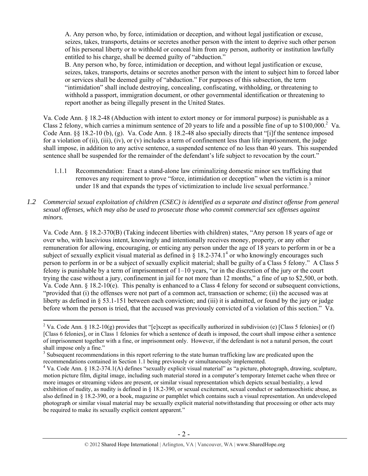A. Any person who, by force, intimidation or deception, and without legal justification or excuse, seizes, takes, transports, detains or secretes another person with the intent to deprive such other person of his personal liberty or to withhold or conceal him from any person, authority or institution lawfully entitled to his charge, shall be deemed guilty of "abduction."

B. Any person who, by force, intimidation or deception, and without legal justification or excuse, seizes, takes, transports, detains or secretes another person with the intent to subject him to forced labor or services shall be deemed guilty of "abduction." For purposes of this subsection, the term "intimidation" shall include destroying, concealing, confiscating, withholding, or threatening to withhold a passport, immigration document, or other governmental identification or threatening to report another as being illegally present in the United States.

Va. Code Ann. § 18.2-48 (Abduction with intent to extort money or for immoral purpose) is punishable as a Class 2 felony, which carries a minimum sentence of 20 years to life and a possible fine of up to \$100,000.<sup>2</sup> Va. Code Ann. §§ 18.2-10 (b), (g). Va. Code Ann. § 18.2-48 also specially directs that "[i]f the sentence imposed for a violation of (ii), (iii), (iv), or (v) includes a term of confinement less than life imprisonment, the judge shall impose, in addition to any active sentence, a suspended sentence of no less than 40 years. This suspended sentence shall be suspended for the remainder of the defendant's life subject to revocation by the court."

1.1.1 Recommendation: Enact a stand-alone law criminalizing domestic minor sex trafficking that removes any requirement to prove "force, intimidation or deception" when the victim is a minor under 18 and that expands the types of victimization to include live sexual performance.<sup>3</sup>

# *1.2 Commercial sexual exploitation of children (CSEC) is identified as a separate and distinct offense from general sexual offenses, which may also be used to prosecute those who commit commercial sex offenses against minors.*

Va. Code Ann. § 18.2-370(B) (Taking indecent liberties with children) states, "Any person 18 years of age or over who, with lascivious intent, knowingly and intentionally receives money, property, or any other remuneration for allowing, encouraging, or enticing any person under the age of 18 years to perform in or be a subject of sexually explicit visual material as defined in  $\hat{\S}$  18.2-374.1<sup>4</sup> or who knowingly encourages such person to perform in or be a subject of sexually explicit material; shall be guilty of a Class 5 felony." A Class 5 felony is punishable by a term of imprisonment of 1–10 years, "or in the discretion of the jury or the court trying the case without a jury, confinement in jail for not more than 12 months," a fine of up to \$2,500, or both. Va. Code Ann. § 18.2-10(e). This penalty is enhanced to a Class 4 felony for second or subsequent convictions, "provided that (i) the offenses were not part of a common act, transaction or scheme; (ii) the accused was at liberty as defined in § 53.1-151 between each conviction; and (iii) it is admitted, or found by the jury or judge before whom the person is tried, that the accused was previously convicted of a violation of this section." Va.

 $\overline{a}$ <sup>2</sup> Va. Code Ann. § 18.2-10(g) provides that "[e]xcept as specifically authorized in subdivision (e) [Class 5 felonies] or (f) [Class 6 felonies], or in Class 1 felonies for which a sentence of death is imposed, the court shall impose either a sentence of imprisonment together with a fine, or imprisonment only. However, if the defendant is not a natural person, the court shall impose only a fine."

<sup>&</sup>lt;sup>3</sup> Subsequent recommendations in this report referring to the state human trafficking law are predicated upon the recommendations contained in Section 1.1 being previously or simultaneously implemented.

<sup>&</sup>lt;sup>4</sup> Va. Code Ann. § 18.2-374.1(A) defines "sexually explicit visual material" as "a picture, photograph, drawing, sculpture, motion picture film, digital image, including such material stored in a computer's temporary Internet cache when three or more images or streaming videos are present, or similar visual representation which depicts sexual bestiality, a lewd exhibition of nudity, as nudity is defined in § 18.2-390, or sexual excitement, sexual conduct or sadomasochistic abuse, as also defined in § 18.2-390, or a book, magazine or pamphlet which contains such a visual representation. An undeveloped photograph or similar visual material may be sexually explicit material notwithstanding that processing or other acts may be required to make its sexually explicit content apparent."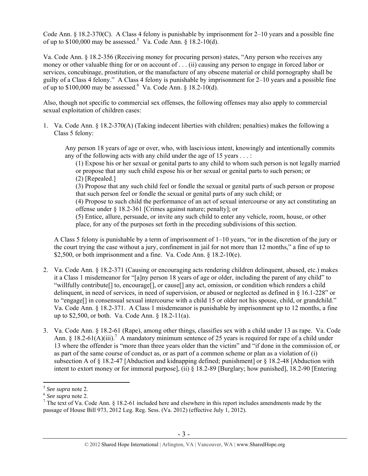Code Ann. § 18.2-370(C). A Class 4 felony is punishable by imprisonment for 2–10 years and a possible fine of up to  $$100,000$  may be assessed.<sup>5</sup> Va. Code Ann. § 18.2-10(d).

Va. Code Ann. § 18.2-356 (Receiving money for procuring person) states, "Any person who receives any money or other valuable thing for or on account of . . . (ii) causing any person to engage in forced labor or services, concubinage, prostitution, or the manufacture of any obscene material or child pornography shall be guilty of a Class 4 felony." A Class 4 felony is punishable by imprisonment for 2–10 years and a possible fine of up to \$100,000 may be assessed. Va. Code Ann. § 18.2-10(d).

Also, though not specific to commercial sex offenses, the following offenses may also apply to commercial sexual exploitation of children cases:

1. Va. Code Ann. § 18.2-370(A) (Taking indecent liberties with children; penalties) makes the following a Class 5 felony:

Any person 18 years of age or over, who, with lascivious intent, knowingly and intentionally commits any of the following acts with any child under the age of 15 years . . . :

(1) Expose his or her sexual or genital parts to any child to whom such person is not legally married or propose that any such child expose his or her sexual or genital parts to such person; or (2) [Repealed.]

(3) Propose that any such child feel or fondle the sexual or genital parts of such person or propose that such person feel or fondle the sexual or genital parts of any such child; or

(4) Propose to such child the performance of an act of sexual intercourse or any act constituting an offense under § 18.2-361 [Crimes against nature; penalty]; or

(5) Entice, allure, persuade, or invite any such child to enter any vehicle, room, house, or other place, for any of the purposes set forth in the preceding subdivisions of this section.

A Class 5 felony is punishable by a term of imprisonment of 1–10 years, "or in the discretion of the jury or the court trying the case without a jury, confinement in jail for not more than 12 months," a fine of up to \$2,500, or both imprisonment and a fine. Va. Code Ann.  $\S$  18.2-10(e).

- 2. Va. Code Ann. § 18.2-371 (Causing or encouraging acts rendering children delinquent, abused, etc.) makes it a Class 1 misdemeanor for "[a]ny person 18 years of age or older, including the parent of any child" to "willfully contribute[] to, encourage[], or cause[] any act, omission, or condition which renders a child delinquent, in need of services, in need of supervision, or abused or neglected as defined in § 16.1-228" or to "engage[] in consensual sexual intercourse with a child 15 or older not his spouse, child, or grandchild." Va. Code Ann. § 18.2-371. A Class 1 misdemeanor is punishable by imprisonment up to 12 months, a fine up to \$2,500, or both. Va. Code Ann. § 18.2-11(a).
- 3. Va. Code Ann. § 18.2-61 (Rape), among other things, classifies sex with a child under 13 as rape. Va. Code Ann. § 18.2-61(A)(iii).<sup>7</sup> A mandatory minimum sentence of 25 years is required for rape of a child under 13 where the offender is "more than three years older than the victim" and "if done in the commission of, or as part of the same course of conduct as, or as part of a common scheme or plan as a violation of (i) subsection A of  $\S 18.2-47$  [Abduction and kidnapping defined; punishment] or  $\S 18.2-48$  [Abduction with intent to extort money or for immoral purpose], (ii) § 18.2-89 [Burglary; how punished], 18.2-90 [Entering

 $5$  See supra note 2.

<sup>5</sup> *See supra* note 2. 6 *See supra* note 2. 7

 $\frac{7}{1}$  The text of Va. Code Ann. § 18.2-61 included here and elsewhere in this report includes amendments made by the passage of House Bill 973, 2012 Leg. Reg. Sess. (Va. 2012) (effective July 1, 2012).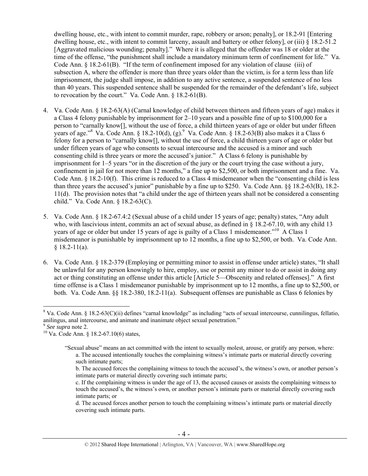dwelling house, etc., with intent to commit murder, rape, robbery or arson; penalty], or 18.2-91 [Entering dwelling house, etc., with intent to commit larceny, assault and battery or other felony], or (iii) § 18.2-51.2 [Aggravated malicious wounding; penalty]." Where it is alleged that the offender was 18 or older at the time of the offense, "the punishment shall include a mandatory minimum term of confinement for life." Va. Code Ann.  $\S$  18.2-61(B). "If the term of confinement imposed for any violation of clause (iii) of subsection A, where the offender is more than three years older than the victim, is for a term less than life imprisonment, the judge shall impose, in addition to any active sentence, a suspended sentence of no less than 40 years. This suspended sentence shall be suspended for the remainder of the defendant's life, subject to revocation by the court." Va. Code Ann. § 18.2-61(B).

- 4. Va. Code Ann. § 18.2-63(A) (Carnal knowledge of child between thirteen and fifteen years of age) makes it a Class 4 felony punishable by imprisonment for 2–10 years and a possible fine of up to \$100,000 for a person to "carnally know[], without the use of force, a child thirteen years of age or older but under fifteen years of age."<sup>8</sup> Va. Code Ann. § 18.2-10(d), (g). <sup>9</sup> Va. Code Ann. § 18.2-63(B) also makes it a Class 6 felony for a person to "carnally know[], without the use of force, a child thirteen years of age or older but under fifteen years of age who consents to sexual intercourse and the accused is a minor and such consenting child is three years or more the accused's junior." A Class 6 felony is punishable by imprisonment for 1–5 years "or in the discretion of the jury or the court trying the case without a jury, confinement in jail for not more than 12 months," a fine up to \$2,500, or both imprisonment and a fine. Va. Code Ann. § 18.2-10(f). This crime is reduced to a Class 4 misdemeanor when the "consenting child is less than three years the accused's junior" punishable by a fine up to \$250. Va. Code Ann. §§ 18.2-63(B), 18.2- 11(d). The provision notes that "a child under the age of thirteen years shall not be considered a consenting child." Va. Code Ann. § 18.2-63(C).
- 5. Va. Code Ann. § 18.2-67.4:2 (Sexual abuse of a child under 15 years of age; penalty) states, "Any adult who, with lascivious intent, commits an act of sexual abuse, as defined in  $\S$  18.2-67.10, with any child 13 years of age or older but under 15 years of age is guilty of a Class 1 misdemeanor."<sup>10</sup> A Class 1 misdemeanor is punishable by imprisonment up to 12 months, a fine up to \$2,500, or both. Va. Code Ann.  $§$  18.2-11(a).
- 6. Va. Code Ann. § 18.2-379 (Employing or permitting minor to assist in offense under article) states, "It shall be unlawful for any person knowingly to hire, employ, use or permit any minor to do or assist in doing any act or thing constituting an offense under this article [Article 5—Obscenity and related offenses]." A first time offense is a Class 1 misdemeanor punishable by imprisonment up to 12 months, a fine up to \$2,500, or both. Va. Code Ann. §§ 18.2-380, 18.2-11(a). Subsequent offenses are punishable as Class 6 felonies by

 $\overline{a}$  $8$  Va. Code Ann. § 18.2-63(C)(ii) defines "carnal knowledge" as including "acts of sexual intercourse, cunnilingus, fellatio, anilingus, anal intercourse, and animate and inanimate object sexual penetration."<br><sup>9</sup> See supra note 2.

<sup>&</sup>lt;sup>10</sup> Va. Code Ann. § 18.2-67.10(6) states,

<sup>&</sup>quot;Sexual abuse" means an act committed with the intent to sexually molest, arouse, or gratify any person, where: a. The accused intentionally touches the complaining witness's intimate parts or material directly covering such intimate parts;

b. The accused forces the complaining witness to touch the accused's, the witness's own, or another person's intimate parts or material directly covering such intimate parts;

c. If the complaining witness is under the age of 13, the accused causes or assists the complaining witness to touch the accused's, the witness's own, or another person's intimate parts or material directly covering such intimate parts; or

d. The accused forces another person to touch the complaining witness's intimate parts or material directly covering such intimate parts.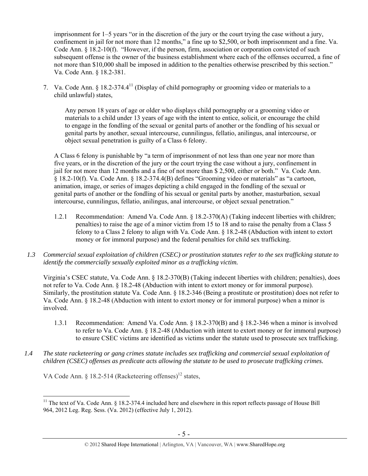imprisonment for 1–5 years "or in the discretion of the jury or the court trying the case without a jury, confinement in jail for not more than 12 months," a fine up to \$2,500, or both imprisonment and a fine. Va. Code Ann. § 18.2-10(f). "However, if the person, firm, association or corporation convicted of such subsequent offense is the owner of the business establishment where each of the offenses occurred, a fine of not more than \$10,000 shall be imposed in addition to the penalties otherwise prescribed by this section." Va. Code Ann. § 18.2-381.

7. Va. Code Ann. § 18.2-374.4<sup>11</sup> (Display of child pornography or grooming video or materials to a child unlawful) states,

Any person 18 years of age or older who displays child pornography or a grooming video or materials to a child under 13 years of age with the intent to entice, solicit, or encourage the child to engage in the fondling of the sexual or genital parts of another or the fondling of his sexual or genital parts by another, sexual intercourse, cunnilingus, fellatio, anilingus, anal intercourse, or object sexual penetration is guilty of a Class 6 felony.

A Class 6 felony is punishable by "a term of imprisonment of not less than one year nor more than five years, or in the discretion of the jury or the court trying the case without a jury, confinement in jail for not more than 12 months and a fine of not more than \$ 2,500, either or both." Va. Code Ann. § 18.2-10(f). Va. Code Ann. § 18.2-374.4(B) defines "Grooming video or materials" as "a cartoon, animation, image, or series of images depicting a child engaged in the fondling of the sexual or genital parts of another or the fondling of his sexual or genital parts by another, masturbation, sexual intercourse, cunnilingus, fellatio, anilingus, anal intercourse, or object sexual penetration."

- 1.2.1 Recommendation: Amend Va. Code Ann. § 18.2-370(A) (Taking indecent liberties with children; penalties) to raise the age of a minor victim from 15 to 18 and to raise the penalty from a Class 5 felony to a Class 2 felony to align with Va. Code Ann. § 18.2-48 (Abduction with intent to extort money or for immoral purpose) and the federal penalties for child sex trafficking.
- *1.3 Commercial sexual exploitation of children (CSEC) or prostitution statutes refer to the sex trafficking statute to identify the commercially sexually exploited minor as a trafficking victim.*

Virginia's CSEC statute, Va. Code Ann. § 18.2-370(B) (Taking indecent liberties with children; penalties), does not refer to Va. Code Ann. § 18.2-48 (Abduction with intent to extort money or for immoral purpose). Similarly, the prostitution statute Va. Code Ann. § 18.2-346 (Being a prostitute or prostitution) does not refer to Va. Code Ann. § 18.2-48 (Abduction with intent to extort money or for immoral purpose) when a minor is involved.

- 1.3.1 Recommendation: Amend Va. Code Ann. § 18.2-370(B) and § 18.2-346 when a minor is involved to refer to Va. Code Ann. § 18.2-48 (Abduction with intent to extort money or for immoral purpose) to ensure CSEC victims are identified as victims under the statute used to prosecute sex trafficking.
- *1.4 The state racketeering or gang crimes statute includes sex trafficking and commercial sexual exploitation of children (CSEC) offenses as predicate acts allowing the statute to be used to prosecute trafficking crimes.*

VA Code Ann. § 18.2-514 (Racketeering offenses)<sup>12</sup> states,

<sup>&</sup>lt;sup>11</sup> The text of Va. Code Ann.  $\S$  18.2-374.4 included here and elsewhere in this report reflects passage of House Bill 964, 2012 Leg. Reg. Sess. (Va. 2012) (effective July 1, 2012).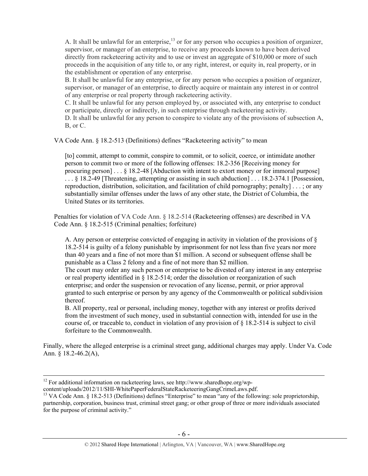A. It shall be unlawful for an enterprise,<sup>13</sup> or for any person who occupies a position of organizer, supervisor, or manager of an enterprise, to receive any proceeds known to have been derived directly from racketeering activity and to use or invest an aggregate of \$10,000 or more of such proceeds in the acquisition of any title to, or any right, interest, or equity in, real property, or in the establishment or operation of any enterprise.

B. It shall be unlawful for any enterprise, or for any person who occupies a position of organizer, supervisor, or manager of an enterprise, to directly acquire or maintain any interest in or control of any enterprise or real property through racketeering activity.

C. It shall be unlawful for any person employed by, or associated with, any enterprise to conduct or participate, directly or indirectly, in such enterprise through racketeering activity.

D. It shall be unlawful for any person to conspire to violate any of the provisions of subsection A, B, or C.

VA Code Ann. § 18.2-513 (Definitions) defines "Racketeering activity" to mean

[to] commit, attempt to commit, conspire to commit, or to solicit, coerce, or intimidate another person to commit two or more of the following offenses: 18.2-356 [Receiving money for procuring person] . . . § 18.2-48 [Abduction with intent to extort money or for immoral purpose] . . . § 18.2-49 [Threatening, attempting or assisting in such abduction] . . . 18.2-374.1 [Possession, reproduction, distribution, solicitation, and facilitation of child pornography; penalty] . . . ; or any substantially similar offenses under the laws of any other state, the District of Columbia, the United States or its territories.

Penalties for violation of VA Code Ann. § 18.2-514 (Racketeering offenses) are described in VA Code Ann. § 18.2-515 (Criminal penalties; forfeiture)

A. Any person or enterprise convicted of engaging in activity in violation of the provisions of § 18.2-514 is guilty of a felony punishable by imprisonment for not less than five years nor more than 40 years and a fine of not more than \$1 million. A second or subsequent offense shall be punishable as a Class 2 felony and a fine of not more than \$2 million.

The court may order any such person or enterprise to be divested of any interest in any enterprise or real property identified in § 18.2-514; order the dissolution or reorganization of such enterprise; and order the suspension or revocation of any license, permit, or prior approval granted to such enterprise or person by any agency of the Commonwealth or political subdivision thereof.

B. All property, real or personal, including money, together with any interest or profits derived from the investment of such money, used in substantial connection with, intended for use in the course of, or traceable to, conduct in violation of any provision of  $\S$  18.2-514 is subject to civil forfeiture to the Commonwealth.

Finally, where the alleged enterprise is a criminal street gang, additional charges may apply. Under Va. Code Ann. § 18.2-46.2(A),

<sup>&</sup>lt;sup>12</sup> For additional information on racketeering laws, see http://www.sharedhope.org/wp-content/uploads/2012/11/SHI-WhitePaperFederalStateRacketeeringGangCrimeLaws.pdf.

<sup>&</sup>lt;sup>13</sup> VA Code Ann. § 18.2-513 (Definitions) defines "Enterprise" to mean "any of the following: sole proprietorship, partnership, corporation, business trust, criminal street gang; or other group of three or more individuals associated for the purpose of criminal activity."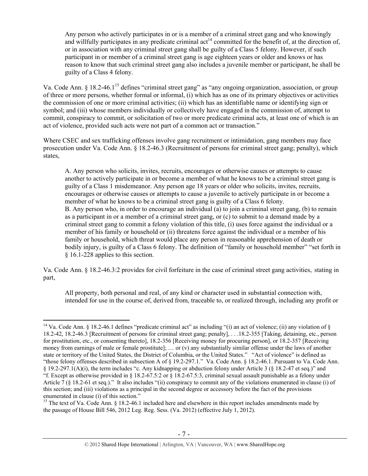Any person who actively participates in or is a member of a criminal street gang and who knowingly and willfully participates in any predicate criminal act<sup>14</sup> committed for the benefit of, at the direction of, or in association with any criminal street gang shall be guilty of a Class 5 felony. However, if such participant in or member of a criminal street gang is age eighteen years or older and knows or has reason to know that such criminal street gang also includes a juvenile member or participant, he shall be guilty of a Class 4 felony.

Va. Code Ann. § 18.2-46.1<sup>15</sup> defines "criminal street gang" as "any ongoing organization, association, or group of three or more persons, whether formal or informal, (i) which has as one of its primary objectives or activities the commission of one or more criminal activities; (ii) which has an identifiable name or identifying sign or symbol; and (iii) whose members individually or collectively have engaged in the commission of, attempt to commit, conspiracy to commit, or solicitation of two or more predicate criminal acts, at least one of which is an act of violence, provided such acts were not part of a common act or transaction."

Where CSEC and sex trafficking offenses involve gang recruitment or intimidation, gang members may face prosecution under Va. Code Ann. § 18.2-46.3 (Recruitment of persons for criminal street gang; penalty), which states,

A. Any person who solicits, invites, recruits, encourages or otherwise causes or attempts to cause another to actively participate in or become a member of what he knows to be a criminal street gang is guilty of a Class 1 misdemeanor. Any person age 18 years or older who solicits, invites, recruits, encourages or otherwise causes or attempts to cause a juvenile to actively participate in or become a member of what he knows to be a criminal street gang is guilty of a Class 6 felony. B. Any person who, in order to encourage an individual (a) to join a criminal street gang, (b) to remain as a participant in or a member of a criminal street gang, or (c) to submit to a demand made by a criminal street gang to commit a felony violation of this title, (i) uses force against the individual or a member of his family or household or (ii) threatens force against the individual or a member of his family or household, which threat would place any person in reasonable apprehension of death or bodily injury, is guilty of a Class 6 felony. The definition of "family or household member" "set forth in § 16.1-228 applies to this section.

Va. Code Ann. § 18.2-46.3:2 provides for civil forfeiture in the case of criminal street gang activities, stating in part,

All property, both personal and real, of any kind or character used in substantial connection with, intended for use in the course of, derived from, traceable to, or realized through, including any profit or

<sup>&</sup>lt;sup>14</sup> Va. Code Ann. § 18.2-46.1 defines "predicate criminal act" as including "(i) an act of violence; (ii) any violation of § 18.2-42, 18.2-46.3 [Recruitment of persons for criminal street gang; penalty], . . .18.2-355 [Taking, detaining, etc., person for prostitution, etc., or consenting thereto], 18.2-356 [Receiving money for procuring person], or 18.2-357 [Receiving money from earnings of male or female prostitute];  $\ldots$  or (v) any substantially similar offense under the laws of another state or territory of the United States, the District of Columbia, or the United States." "Act of violence" is defined as "those felony offenses described in subsection A of § 19.2-297.1." Va. Code Ann. § 18.2-46.1. Pursuant to Va. Code Ann. § 19.2-297.1(A)(i), the term includes "c. Any kidnapping or abduction felony under Article 3 (§ 18.2-47 et seq.)" and "f. Except as otherwise provided in § 18.2-67.5:2 or § 18.2-67.5:3, criminal sexual assault punishable as a felony under Article 7 (§ 18.2-61 et seq.)." It also includes "(ii) conspiracy to commit any of the violations enumerated in clause (i) of this section; and (iii) violations as a principal in the second degree or accessory before the fact of the provisions enumerated in clause (i) of this section."

<sup>&</sup>lt;sup>15</sup> The text of Va. Code Ann. § 18.2-46.1 included here and elsewhere in this report includes amendments made by the passage of House Bill 546, 2012 Leg. Reg. Sess. (Va. 2012) (effective July 1, 2012).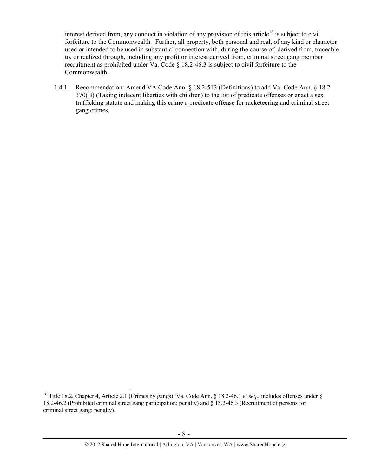interest derived from, any conduct in violation of any provision of this article<sup>16</sup> is subject to civil forfeiture to the Commonwealth. Further, all property, both personal and real, of any kind or character used or intended to be used in substantial connection with, during the course of, derived from, traceable to, or realized through, including any profit or interest derived from, criminal street gang member recruitment as prohibited under Va. Code § 18.2-46.3 is subject to civil forfeiture to the Commonwealth.

1.4.1 Recommendation: Amend VA Code Ann. § 18.2-513 (Definitions) to add Va. Code Ann. § 18.2- 370(B) (Taking indecent liberties with children) to the list of predicate offenses or enact a sex trafficking statute and making this crime a predicate offense for racketeering and criminal street gang crimes.

<sup>16</sup> Title 18.2, Chapter 4, Article 2.1 (Crimes by gangs), Va. Code Ann. § 18.2-46.1 *et seq.*, includes offenses under § 18.2-46.2 (Prohibited criminal street gang participation; penalty) and § 18.2-46.3 (Recruitment of persons for criminal street gang; penalty).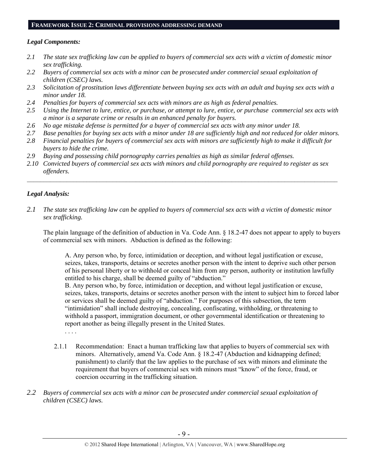#### **FRAMEWORK ISSUE 2: CRIMINAL PROVISIONS ADDRESSING DEMAND**

# *Legal Components:*

- *2.1 The state sex trafficking law can be applied to buyers of commercial sex acts with a victim of domestic minor sex trafficking.*
- *2.2 Buyers of commercial sex acts with a minor can be prosecuted under commercial sexual exploitation of children (CSEC) laws.*
- *2.3 Solicitation of prostitution laws differentiate between buying sex acts with an adult and buying sex acts with a minor under 18.*
- *2.4 Penalties for buyers of commercial sex acts with minors are as high as federal penalties.*
- *2.5 Using the Internet to lure, entice, or purchase, or attempt to lure, entice, or purchase commercial sex acts with a minor is a separate crime or results in an enhanced penalty for buyers.*
- *2.6 No age mistake defense is permitted for a buyer of commercial sex acts with any minor under 18.*
- *2.7 Base penalties for buying sex acts with a minor under 18 are sufficiently high and not reduced for older minors.*
- *2.8 Financial penalties for buyers of commercial sex acts with minors are sufficiently high to make it difficult for buyers to hide the crime.*
- *2.9 Buying and possessing child pornography carries penalties as high as similar federal offenses.*
- *2.10 Convicted buyers of commercial sex acts with minors and child pornography are required to register as sex offenders.*

 $\mathcal{L}_\mathcal{L} = \{ \mathcal{L}_\mathcal{L} = \{ \mathcal{L}_\mathcal{L} = \{ \mathcal{L}_\mathcal{L} = \{ \mathcal{L}_\mathcal{L} = \{ \mathcal{L}_\mathcal{L} = \{ \mathcal{L}_\mathcal{L} = \{ \mathcal{L}_\mathcal{L} = \{ \mathcal{L}_\mathcal{L} = \{ \mathcal{L}_\mathcal{L} = \{ \mathcal{L}_\mathcal{L} = \{ \mathcal{L}_\mathcal{L} = \{ \mathcal{L}_\mathcal{L} = \{ \mathcal{L}_\mathcal{L} = \{ \mathcal{L}_\mathcal{$ 

# *Legal Analysis:*

*2.1 The state sex trafficking law can be applied to buyers of commercial sex acts with a victim of domestic minor sex trafficking.*

The plain language of the definition of abduction in Va. Code Ann. § 18.2-47 does not appear to apply to buyers of commercial sex with minors. Abduction is defined as the following:

A. Any person who, by force, intimidation or deception, and without legal justification or excuse, seizes, takes, transports, detains or secretes another person with the intent to deprive such other person of his personal liberty or to withhold or conceal him from any person, authority or institution lawfully entitled to his charge, shall be deemed guilty of "abduction."

B. Any person who, by force, intimidation or deception, and without legal justification or excuse, seizes, takes, transports, detains or secretes another person with the intent to subject him to forced labor or services shall be deemed guilty of "abduction." For purposes of this subsection, the term "intimidation" shall include destroying, concealing, confiscating, withholding, or threatening to withhold a passport, immigration document, or other governmental identification or threatening to report another as being illegally present in the United States.

. . . .

- 2.1.1 Recommendation: Enact a human trafficking law that applies to buyers of commercial sex with minors. Alternatively, amend Va. Code Ann. § 18.2-47 (Abduction and kidnapping defined; punishment) to clarify that the law applies to the purchase of sex with minors and eliminate the requirement that buyers of commercial sex with minors must "know" of the force, fraud, or coercion occurring in the trafficking situation.
- *2.2 Buyers of commercial sex acts with a minor can be prosecuted under commercial sexual exploitation of children (CSEC) laws.*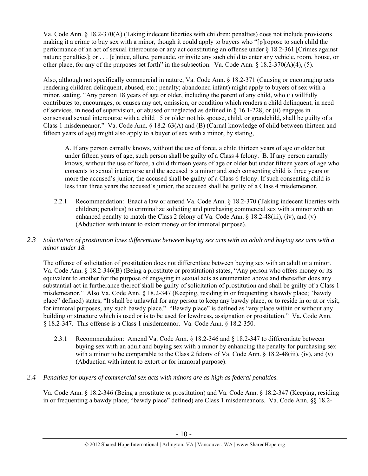Va. Code Ann. § 18.2-370(A) (Taking indecent liberties with children; penalties) does not include provisions making it a crime to buy sex with a minor, though it could apply to buyers who "[p]ropose to such child the performance of an act of sexual intercourse or any act constituting an offense under § 18.2-361 [Crimes against nature; penalties]; or . . . [e]ntice, allure, persuade, or invite any such child to enter any vehicle, room, house, or other place, for any of the purposes set forth" in the subsection. Va. Code Ann. § 18.2-370(A)(4), (5).

Also, although not specifically commercial in nature, Va. Code Ann. § 18.2-371 (Causing or encouraging acts rendering children delinquent, abused, etc.; penalty; abandoned infant) might apply to buyers of sex with a minor, stating, "Any person 18 years of age or older, including the parent of any child, who (i) willfully contributes to, encourages, or causes any act, omission, or condition which renders a child delinquent, in need of services, in need of supervision, or abused or neglected as defined in  $\S$  16.1-228, or (ii) engages in consensual sexual intercourse with a child 15 or older not his spouse, child, or grandchild, shall be guilty of a Class 1 misdemeanor." Va. Code Ann. § 18.2-63(A) and (B) (Carnal knowledge of child between thirteen and fifteen years of age) might also apply to a buyer of sex with a minor, by stating,

A. If any person carnally knows, without the use of force, a child thirteen years of age or older but under fifteen years of age, such person shall be guilty of a Class 4 felony. B. If any person carnally knows, without the use of force, a child thirteen years of age or older but under fifteen years of age who consents to sexual intercourse and the accused is a minor and such consenting child is three years or more the accused's junior, the accused shall be guilty of a Class 6 felony. If such consenting child is less than three years the accused's junior, the accused shall be guilty of a Class 4 misdemeanor.

- 2.2.1 Recommendation: Enact a law or amend Va. Code Ann. § 18.2-370 (Taking indecent liberties with children; penalties) to criminalize soliciting and purchasing commercial sex with a minor with an enhanced penalty to match the Class 2 felony of Va. Code Ann. § 18.2-48(iii), (iv), and (v) (Abduction with intent to extort money or for immoral purpose).
- *2.3 Solicitation of prostitution laws differentiate between buying sex acts with an adult and buying sex acts with a minor under 18.*

The offense of solicitation of prostitution does not differentiate between buying sex with an adult or a minor. Va. Code Ann. § 18.2-346(B) (Being a prostitute or prostitution) states, "Any person who offers money or its equivalent to another for the purpose of engaging in sexual acts as enumerated above and thereafter does any substantial act in furtherance thereof shall be guilty of solicitation of prostitution and shall be guilty of a Class 1 misdemeanor." Also Va. Code Ann. § 18.2-347 (Keeping, residing in or frequenting a bawdy place; "bawdy place" defined) states, "It shall be unlawful for any person to keep any bawdy place, or to reside in or at or visit, for immoral purposes, any such bawdy place." "Bawdy place" is defined as "any place within or without any building or structure which is used or is to be used for lewdness, assignation or prostitution." Va. Code Ann. § 18.2-347. This offense is a Class 1 misdemeanor. Va. Code Ann. § 18.2-350.

- 2.3.1 Recommendation: Amend Va. Code Ann. § 18.2-346 and § 18.2-347 to differentiate between buying sex with an adult and buying sex with a minor by enhancing the penalty for purchasing sex with a minor to be comparable to the Class 2 felony of Va. Code Ann. § 18.2-48(iii), (iv), and (v) (Abduction with intent to extort or for immoral purpose).
- *2.4 Penalties for buyers of commercial sex acts with minors are as high as federal penalties.*

Va. Code Ann. § 18.2-346 (Being a prostitute or prostitution) and Va. Code Ann. § 18.2-347 (Keeping, residing in or frequenting a bawdy place; "bawdy place" defined) are Class 1 misdemeanors. Va. Code Ann. §§ 18.2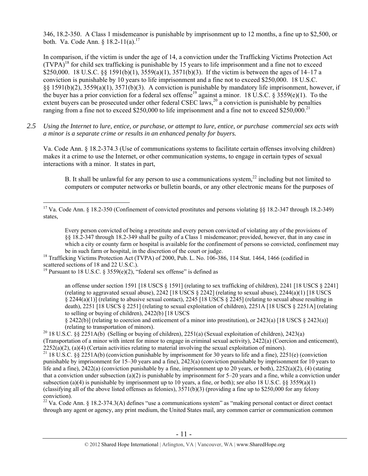346, 18.2-350. A Class 1 misdemeanor is punishable by imprisonment up to 12 months, a fine up to \$2,500, or both. Va. Code Ann. §  $18.2 - 11(a)$ .<sup>17</sup>

In comparison, if the victim is under the age of 14, a conviction under the Trafficking Victims Protection Act  $(TVPA)^{18}$  for child sex trafficking is punishable by 15 years to life imprisonment and a fine not to exceed \$250,000. 18 U.S.C. §§ 1591(b)(1),  $3559(a)(1)$ ,  $3571(b)(3)$ . If the victim is between the ages of 14–17 a conviction is punishable by 10 years to life imprisonment and a fine not to exceed \$250,000. 18 U.S.C. §§ 1591(b)(2), 3559(a)(1), 3571(b)(3). A conviction is punishable by mandatory life imprisonment, however, if the buyer has a prior conviction for a federal sex offense<sup>19</sup> against a minor. 18 U.S.C. § 3559(e)(1). To the extent buyers can be prosecuted under other federal CSEC laws,<sup>20</sup> a conviction is punishable by penalties ranging from a fine not to exceed \$250,000 to life imprisonment and a fine not to exceed \$250,000.<sup>21</sup>

*2.5 Using the Internet to lure, entice, or purchase, or attempt to lure, entice, or purchase commercial sex acts with a minor is a separate crime or results in an enhanced penalty for buyers.* 

Va. Code Ann. § 18.2-374.3 (Use of communications systems to facilitate certain offenses involving children) makes it a crime to use the Internet, or other communication systems, to engage in certain types of sexual interactions with a minor. It states in part,

B. It shall be unlawful for any person to use a communications system,  $22$  including but not limited to computers or computer networks or bulletin boards, or any other electronic means for the purposes of

Every person convicted of being a prostitute and every person convicted of violating any of the provisions of §§ 18.2-347 through 18.2-349 shall be guilty of a Class 1 misdemeanor; provided, however, that in any case in which a city or county farm or hospital is available for the confinement of persons so convicted, confinement may be in such farm or hospital, in the discretion of the court or judge.<br><sup>18</sup> Trafficking Victims Protection Act (TVPA) of 2000, Pub. L. No. 106-386, 114 Stat. 1464, 1466 (codified in

scattered sections of 18 and 22 U.S.C.).

an offense under section 1591 [18 USCS § 1591] (relating to sex trafficking of children), 2241 [18 USCS § 2241] (relating to aggravated sexual abuse), 2242 [18 USCS § 2242] (relating to sexual abuse), 2244(a)(1) [18 USCS § 2244(a)(1)] (relating to abusive sexual contact), 2245 [18 USCS § 2245] (relating to sexual abuse resulting in death), 2251 [18 USCS § 2251] (relating to sexual exploitation of children), 2251A [18 USCS § 2251A] (relating to selling or buying of children), 2422(b) [18 USCS

 $\S$  2422(b)] (relating to coercion and enticement of a minor into prostitution), or 2423(a) [18 USCS  $\S$  2423(a)]

(relating to transportation of minors). 20 18 U.S.C. §§ 2251A(b) (Selling or buying of children), 2251(a) (Sexual exploitation of children), 2423(a) (Transportation of a minor with intent for minor to engage in criminal sexual activity), 2422(a) (Coercion and enticement),

2252(a)(2), (a)(4) (Certain activities relating to material involving the sexual exploitation of minors). <sup>21</sup> 18 U.S.C. §§ 2251A(b) (conviction punishable by imprisonment for 30 years to life and a fine), 2251(e) (convic punishable by imprisonment for 15–30 years and a fine), 2423(a) (conviction punishable by imprisonment for 10 years to life and a fine),  $2422(a)$  (conviction punishable by a fine, imprisonment up to 20 years, or both),  $2252(a)(2)$ , (4) (stating that a conviction under subsection (a)(2) is punishable by imprisonment for  $5-20$  years and a fine, while a conviction under subsection (a)(4) is punishable by imprisonment up to 10 years, a fine, or both); *see also* 18 U.S.C. §§ 3559(a)(1) (classifying all of the above listed offenses as felonies),  $3571(b)(3)$  (providing a fine up to \$250,000 for any felony conviction).

<sup>22</sup> Va. Code Ann. § 18.2-374.3(A) defines "use a communications system" as "making personal contact or direct contact through any agent or agency, any print medium, the United States mail, any common carrier or communication common

 $\overline{a}$ <sup>17</sup> Va. Code Ann. § 18.2-350 (Confinement of convicted prostitutes and persons violating  $\S$ § 18.2-347 through 18.2-349) states,

<sup>&</sup>lt;sup>19</sup> Pursuant to 18 U.S.C. § 3559(e)(2), "federal sex offense" is defined as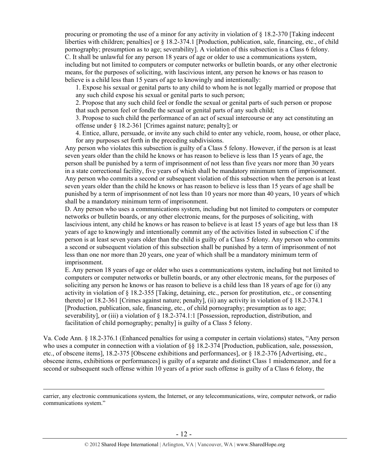procuring or promoting the use of a minor for any activity in violation of § 18.2-370 [Taking indecent liberties with children; penalties] or § 18.2-374.1 [Production, publication, sale, financing, etc., of child pornography; presumption as to age; severability]. A violation of this subsection is a Class 6 felony. C. It shall be unlawful for any person 18 years of age or older to use a communications system, including but not limited to computers or computer networks or bulletin boards, or any other electronic means, for the purposes of soliciting, with lascivious intent, any person he knows or has reason to believe is a child less than 15 years of age to knowingly and intentionally:

1. Expose his sexual or genital parts to any child to whom he is not legally married or propose that any such child expose his sexual or genital parts to such person;

2. Propose that any such child feel or fondle the sexual or genital parts of such person or propose that such person feel or fondle the sexual or genital parts of any such child;

3. Propose to such child the performance of an act of sexual intercourse or any act constituting an offense under § 18.2-361 [Crimes against nature; penalty]; or

4. Entice, allure, persuade, or invite any such child to enter any vehicle, room, house, or other place, for any purposes set forth in the preceding subdivisions.

Any person who violates this subsection is guilty of a Class 5 felony. However, if the person is at least seven years older than the child he knows or has reason to believe is less than 15 years of age, the person shall be punished by a term of imprisonment of not less than five years nor more than 30 years in a state correctional facility, five years of which shall be mandatory minimum term of imprisonment. Any person who commits a second or subsequent violation of this subsection when the person is at least seven years older than the child he knows or has reason to believe is less than 15 years of age shall be punished by a term of imprisonment of not less than 10 years nor more than 40 years, 10 years of which shall be a mandatory minimum term of imprisonment.

D. Any person who uses a communications system, including but not limited to computers or computer networks or bulletin boards, or any other electronic means, for the purposes of soliciting, with lascivious intent, any child he knows or has reason to believe is at least 15 years of age but less than 18 years of age to knowingly and intentionally commit any of the activities listed in subsection C if the person is at least seven years older than the child is guilty of a Class 5 felony. Any person who commits a second or subsequent violation of this subsection shall be punished by a term of imprisonment of not less than one nor more than 20 years, one year of which shall be a mandatory minimum term of imprisonment.

E. Any person 18 years of age or older who uses a communications system, including but not limited to computers or computer networks or bulletin boards, or any other electronic means, for the purposes of soliciting any person he knows or has reason to believe is a child less than 18 years of age for (i) any activity in violation of § 18.2-355 [Taking, detaining, etc., person for prostitution, etc., or consenting thereto] or 18.2-361 [Crimes against nature; penalty], (ii) any activity in violation of § 18.2-374.1 [Production, publication, sale, financing, etc., of child pornography; presumption as to age; severability], or (iii) a violation of § 18.2-374.1:1 [Possession, reproduction, distribution, and facilitation of child pornography; penalty] is guilty of a Class 5 felony.

Va. Code Ann. § 18.2-376.1 (Enhanced penalties for using a computer in certain violations) states, "Any person who uses a computer in connection with a violation of  $\S$ § 18.2-374 [Production, publication, sale, possession, etc., of obscene items], 18.2-375 [Obscene exhibitions and performances], or § 18.2-376 [Advertising, etc., obscene items, exhibitions or performances] is guilty of a separate and distinct Class 1 misdemeanor, and for a second or subsequent such offense within 10 years of a prior such offense is guilty of a Class 6 felony, the

carrier, any electronic communications system, the Internet, or any telecommunications, wire, computer network, or radio communications system."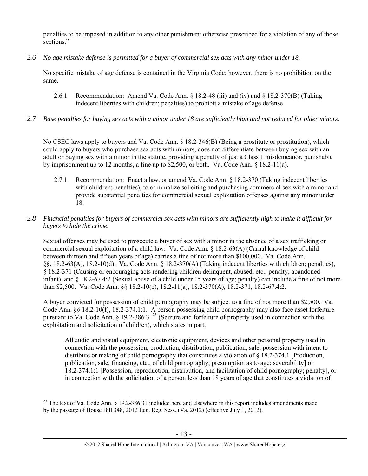penalties to be imposed in addition to any other punishment otherwise prescribed for a violation of any of those sections."

*2.6 No age mistake defense is permitted for a buyer of commercial sex acts with any minor under 18.* 

No specific mistake of age defense is contained in the Virginia Code; however, there is no prohibition on the same.

- 2.6.1 Recommendation: Amend Va. Code Ann. § 18.2-48 (iii) and (iv) and § 18.2-370(B) (Taking indecent liberties with children; penalties) to prohibit a mistake of age defense.
- *2.7 Base penalties for buying sex acts with a minor under 18 are sufficiently high and not reduced for older minors.*

No CSEC laws apply to buyers and Va. Code Ann. § 18.2-346(B) (Being a prostitute or prostitution), which could apply to buyers who purchase sex acts with minors, does not differentiate between buying sex with an adult or buying sex with a minor in the statute, providing a penalty of just a Class 1 misdemeanor, punishable by imprisonment up to 12 months, a fine up to \$2,500, or both. Va. Code Ann.  $\S$  18.2-11(a).

- 2.7.1 Recommendation: Enact a law, or amend Va. Code Ann. § 18.2-370 (Taking indecent liberties with children; penalties), to criminalize soliciting and purchasing commercial sex with a minor and provide substantial penalties for commercial sexual exploitation offenses against any minor under 18.
- *2.8 Financial penalties for buyers of commercial sex acts with minors are sufficiently high to make it difficult for buyers to hide the crime.*

Sexual offenses may be used to prosecute a buyer of sex with a minor in the absence of a sex trafficking or commercial sexual exploitation of a child law. Va. Code Ann. § 18.2-63(A) (Carnal knowledge of child between thirteen and fifteen years of age) carries a fine of not more than \$100,000. Va. Code Ann. §§, 18.2-63(A), 18.2-10(d). Va. Code Ann. § 18.2-370(A) (Taking indecent liberties with children; penalties), § 18.2-371 (Causing or encouraging acts rendering children delinquent, abused, etc.; penalty; abandoned infant), and § 18.2-67.4:2 (Sexual abuse of a child under 15 years of age; penalty) can include a fine of not more than \$2,500. Va. Code Ann. §§ 18.2-10(e), 18.2-11(a), 18.2-370(A), 18.2-371, 18.2-67.4:2.

A buyer convicted for possession of child pornography may be subject to a fine of not more than \$2,500. Va. Code Ann. §§ 18,2-10(f), 18.2-374.1:1. A person possessing child pornography may also face asset forfeiture pursuant to Va. Code Ann. § 19.2-386.31<sup>23</sup> (Seizure and forfeiture of property used in connection with the exploitation and solicitation of children), which states in part,

All audio and visual equipment, electronic equipment, devices and other personal property used in connection with the possession, production, distribution, publication, sale, possession with intent to distribute or making of child pornography that constitutes a violation of § 18.2-374.1 [Production, publication, sale, financing, etc., of child pornography; presumption as to age; severability] or 18.2-374.1:1 [Possession, reproduction, distribution, and facilitation of child pornography; penalty], or in connection with the solicitation of a person less than 18 years of age that constitutes a violation of

 $^{23}$  The text of Va. Code Ann. § 19.2-386.31 included here and elsewhere in this report includes amendments made by the passage of House Bill 348, 2012 Leg. Reg. Sess. (Va. 2012) (effective July 1, 2012).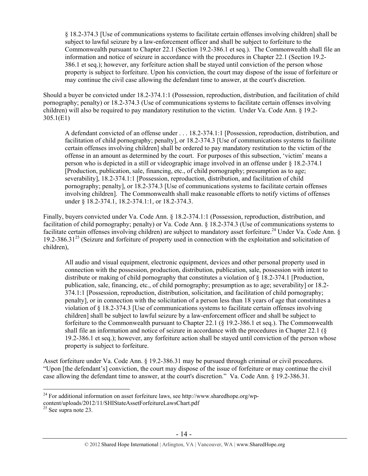§ 18.2-374.3 [Use of communications systems to facilitate certain offenses involving children] shall be subject to lawful seizure by a law-enforcement officer and shall be subject to forfeiture to the Commonwealth pursuant to Chapter 22.1 (Section 19.2-386.1 et seq.). The Commonwealth shall file an information and notice of seizure in accordance with the procedures in Chapter 22.1 (Section 19.2- 386.1 et seq.); however, any forfeiture action shall be stayed until conviction of the person whose property is subject to forfeiture. Upon his conviction, the court may dispose of the issue of forfeiture or may continue the civil case allowing the defendant time to answer, at the court's discretion.

Should a buyer be convicted under 18.2-374.1:1 (Possession, reproduction, distribution, and facilitation of child pornography; penalty) or 18.2-374.3 (Use of communications systems to facilitate certain offenses involving children) will also be required to pay mandatory restitution to the victim. Under Va. Code Ann. § 19.2- 305.1(E1)

A defendant convicted of an offense under . . . 18.2-374.1:1 [Possession, reproduction, distribution, and facilitation of child pornography; penalty], or 18.2-374.3 [Use of communications systems to facilitate certain offenses involving children] shall be ordered to pay mandatory restitution to the victim of the offense in an amount as determined by the court. For purposes of this subsection, 'victim' means a person who is depicted in a still or videographic image involved in an offense under § 18.2-374.1 [Production, publication, sale, financing, etc., of child pornography; presumption as to age; severability], 18.2-374.1:1 [Possession, reproduction, distribution, and facilitation of child pornography; penalty], or 18.2-374.3 [Use of communications systems to facilitate certain offenses involving children]. The Commonwealth shall make reasonable efforts to notify victims of offenses under § 18.2-374.1, 18.2-374.1:1, or 18.2-374.3.

Finally, buyers convicted under Va. Code Ann. § 18.2-374.1:1 (Possession, reproduction, distribution, and facilitation of child pornography; penalty) or Va. Code Ann. § 18.2-374.3 (Use of communications systems to facilitate certain offenses involving children) are subject to mandatory asset forfeiture.<sup>24</sup> Under Va. Code Ann. § 19.2-386.31<sup>25</sup> (Seizure and forfeiture of property used in connection with the exploitation and solicitation of children),

All audio and visual equipment, electronic equipment, devices and other personal property used in connection with the possession, production, distribution, publication, sale, possession with intent to distribute or making of child pornography that constitutes a violation of  $\S 18.2-374.1$  [Production, publication, sale, financing, etc., of child pornography; presumption as to age; severability] or 18.2- 374.1:1 [Possession, reproduction, distribution, solicitation, and facilitation of child pornography; penalty], or in connection with the solicitation of a person less than 18 years of age that constitutes a violation of § 18.2-374.3 [Use of communications systems to facilitate certain offenses involving children] shall be subject to lawful seizure by a law-enforcement officer and shall be subject to forfeiture to the Commonwealth pursuant to Chapter 22.1 (§ 19.2-386.1 et seq.). The Commonwealth shall file an information and notice of seizure in accordance with the procedures in Chapter 22.1 (§ 19.2-386.1 et seq.); however, any forfeiture action shall be stayed until conviction of the person whose property is subject to forfeiture.

Asset forfeiture under Va. Code Ann. § 19.2-386.31 may be pursued through criminal or civil procedures. "Upon [the defendant's] conviction, the court may dispose of the issue of forfeiture or may continue the civil case allowing the defendant time to answer, at the court's discretion." Va. Code Ann. § 19.2-386.31.

 $\overline{a}$ <sup>24</sup> For additional information on asset forfeiture laws, see http://www.sharedhope.org/wp-

content/uploads/2012/11/SHIStateAssetForfeitureLawsChart.pdf <sup>25</sup> See supra note 23.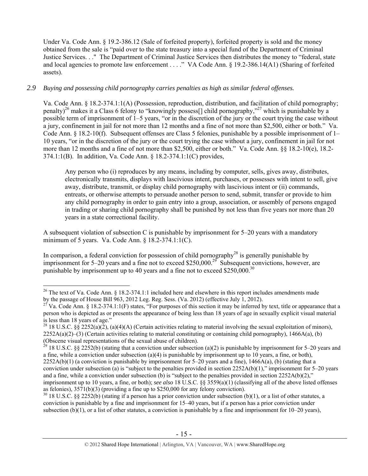Under Va. Code Ann. § 19.2-386.12 (Sale of forfeited property), forfeited property is sold and the money obtained from the sale is "paid over to the state treasury into a special fund of the Department of Criminal Justice Services. . ." The Department of Criminal Justice Services then distributes the money to "federal, state and local agencies to promote law enforcement . . . ." VA Code Ann. § 19.2-386.14(A1) (Sharing of forfeited assets).

# *2.9 Buying and possessing child pornography carries penalties as high as similar federal offenses.*

Va. Code Ann. § 18.2-374.1:1(A) (Possession, reproduction, distribution, and facilitation of child pornography; penalty)<sup>26</sup> makes it a Class 6 felony to "knowingly possess<sup>[]</sup> child pornography,"<sup>27</sup> which is punishable by a possible term of imprisonment of 1–5 years, "or in the discretion of the jury or the court trying the case without a jury, confinement in jail for not more than 12 months and a fine of not more than \$2,500, either or both." Va. Code Ann. § 18.2-10(f). Subsequent offenses are Class 5 felonies, punishable by a possible imprisonment of 1– 10 years, "or in the discretion of the jury or the court trying the case without a jury, confinement in jail for not more than 12 months and a fine of not more than \$2,500, either or both." Va. Code Ann. §§ 18.2-10(e), 18.2- 374.1:1(B). In addition, Va. Code Ann. § 18.2-374.1:1(C) provides,

Any person who (i) reproduces by any means, including by computer, sells, gives away, distributes, electronically transmits, displays with lascivious intent, purchases, or possesses with intent to sell, give away, distribute, transmit, or display child pornography with lascivious intent or (ii) commands, entreats, or otherwise attempts to persuade another person to send, submit, transfer or provide to him any child pornography in order to gain entry into a group, association, or assembly of persons engaged in trading or sharing child pornography shall be punished by not less than five years nor more than 20 years in a state correctional facility.

A subsequent violation of subsection C is punishable by imprisonment for 5–20 years with a mandatory minimum of 5 years. Va. Code Ann. § 18.2-374.1:1(C).

In comparison, a federal conviction for possession of child pornography<sup>28</sup> is generally punishable by imprisonment for 5–20 years and a fine not to exceed \$250,000.<sup>29</sup> Subsequent convictions, however, are punishable by imprisonment up to 40 years and a fine not to exceed  $$250,000.<sup>30</sup>$ 

 $30\,18$  U.S.C. §§ 2252(b) (stating if a person has a prior conviction under subsection (b)(1), or a list of other statutes, a conviction is punishable by a fine and imprisonment for 15–40 years, but if a person has a prior conviction under subsection (b)(1), or a list of other statutes, a conviction is punishable by a fine and imprisonment for 10–20 years),

 $\overline{a}$ <sup>26</sup> The text of Va. Code Ann. § 18.2-374.1:1 included here and elsewhere in this report includes amendments made<br>by the passage of House Bill 963, 2012 Leg. Reg. Sess. (Va. 2012) (effective July 1, 2012).

<sup>&</sup>lt;sup>27</sup> Va. Code Ann. § 18.2-374.1:1(F) states, "For purposes of this section it may be inferred by text, title or appearance that a person who is depicted as or presents the appearance of being less than 18 years of age in sexually explicit visual material is less than 18 years of age."

<sup>&</sup>lt;sup>28</sup> 18 U.S.C. §§ 2252(a)(2), (a)(4)(A) (Certain activities relating to material involving the sexual exploitation of minors),  $2252A(a)(2)$ –(3) (Certain activities relating to material constituting or containing child pornography), 1466A(a), (b) (Obscene visual representations of the sexual abuse of children).

<sup>&</sup>lt;sup>29</sup> 18 U.S.C. §§ 2252(b) (stating that a conviction under subsection (a)(2) is punishable by imprisonment for 5–20 years and a fine, while a conviction under subsection (a)(4) is punishable by imprisonment up to 10 years, a fine, or both),  $2252A(b)(1)$  (a conviction is punishable by imprisonment for 5–20 years and a fine), 1466A(a), (b) (stating that a conviction under subsection (a) is "subject to the penalties provided in section  $2252A(b)(1)$ ," imprisonment for 5–20 years and a fine, while a conviction under subsection (b) is "subject to the penalties provided in section  $2252A(b)(2)$ ," imprisonment up to 10 years, a fine, or both); *see also* 18 U.S.C. §§ 3559(a)(1) (classifying all of the above listed offenses as felonies), 3571(b)(3) (providing a fine up to \$250,000 for any felony conviction).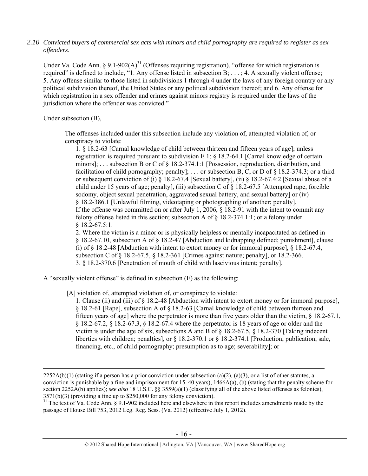#### *2.10 Convicted buyers of commercial sex acts with minors and child pornography are required to register as sex offenders*.

Under Va. Code Ann.  $\S 9.1-902(A)^{31}$  (Offenses requiring registration), "offense for which registration is required" is defined to include, "1. Any offense listed in subsection B; . . . ; 4. A sexually violent offense; 5. Any offense similar to those listed in subdivisions 1 through 4 under the laws of any foreign country or any political subdivision thereof, the United States or any political subdivision thereof; and 6. Any offense for which registration in a sex offender and crimes against minors registry is required under the laws of the jurisdiction where the offender was convicted."

Under subsection (B),

The offenses included under this subsection include any violation of, attempted violation of, or conspiracy to violate:

1. § 18.2-63 [Carnal knowledge of child between thirteen and fifteen years of age]; unless registration is required pursuant to subdivision E 1;  $\S$  18.2-64.1 [Carnal knowledge of certain minors]; . . . subsection B or C of § 18.2-374.1:1 [Possession, reproduction, distribution, and facilitation of child pornography; penalty]; . . . or subsection B, C, or D of § 18.2-374.3; or a third or subsequent conviction of (i) § 18.2-67.4 [Sexual battery], (ii) § 18.2-67.4:2 [Sexual abuse of a child under 15 years of age; penalty], (iii) subsection C of § 18.2-67.5 [Attempted rape, forcible sodomy, object sexual penetration, aggravated sexual battery, and sexual battery] or (iv) § 18.2-386.1 [Unlawful filming, videotaping or photographing of another; penalty]. If the offense was committed on or after July 1, 2006, § 18.2-91 with the intent to commit any felony offense listed in this section; subsection A of  $\S$  18.2-374.1:1; or a felony under § 18.2-67.5:1.

2. Where the victim is a minor or is physically helpless or mentally incapacitated as defined in § 18.2-67.10, subsection A of § 18.2-47 [Abduction and kidnapping defined; punishment], clause (i) of § 18.2-48 [Abduction with intent to extort money or for immoral purpose], § 18.2-67.4, subsection C of  $\S$  18.2-67.5,  $\S$  18.2-361 [Crimes against nature; penalty], or 18.2-366. 3. § 18.2-370.6 [Penetration of mouth of child with lascivious intent; penalty].

A "sexually violent offense" is defined in subsection (E) as the following:

[A] violation of, attempted violation of, or conspiracy to violate:

1. Clause (ii) and (iii) of § 18.2-48 [Abduction with intent to extort money or for immoral purpose], § 18.2-61 [Rape], subsection A of § 18.2-63 [Carnal knowledge of child between thirteen and fifteen years of age] where the perpetrator is more than five years older than the victim, § 18.2-67.1, § 18.2-67.2, § 18.2-67.3, § 18.2-67.4 where the perpetrator is 18 years of age or older and the victim is under the age of six, subsections A and B of  $\S$  18.2-67.5,  $\S$  18.2-370 [Taking indecent] liberties with children; penalties], or § 18.2-370.1 or § 18.2-374.1 [Production, publication, sale, financing, etc., of child pornography; presumption as to age; severability]; or

 $2252A(b)(1)$  (stating if a person has a prior conviction under subsection (a)(2), (a)(3), or a list of other statutes, a conviction is punishable by a fine and imprisonment for  $15-40$  years),  $1466A(a)$ , (b) (stating that the penalty scheme for section 2252A(b) applies); *see also* 18 U.S.C. §§ 3559(a)(1) (classifying all of the above listed offenses as felonies), 3571(b)(3) (providing a fine up to \$250,000 for any felony conviction).

<sup>&</sup>lt;sup>31</sup> The text of Va. Code Ann. § 9.1-902 included here and elsewhere in this report includes amendments made by the passage of House Bill 753, 2012 Leg. Reg. Sess. (Va. 2012) (effective July 1, 2012).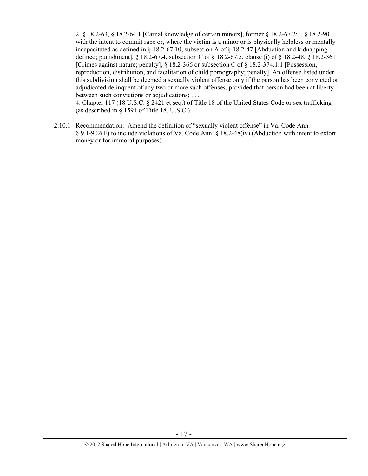2. § 18.2-63, § 18.2-64.1 [Carnal knowledge of certain minors], former § 18.2-67.2:1, § 18.2-90 with the intent to commit rape or, where the victim is a minor or is physically helpless or mentally incapacitated as defined in § 18.2-67.10, subsection A of § 18.2-47 [Abduction and kidnapping defined; punishment], § 18.2-67.4, subsection C of § 18.2-67.5, clause (i) of § 18.2-48, § 18.2-361 [Crimes against nature; penalty], § 18.2-366 or subsection C of § 18.2-374.1:1 [Possession, reproduction, distribution, and facilitation of child pornography; penalty]. An offense listed under this subdivision shall be deemed a sexually violent offense only if the person has been convicted or adjudicated delinquent of any two or more such offenses, provided that person had been at liberty between such convictions or adjudications; . . .

4. Chapter 117 (18 U.S.C. § 2421 et seq.) of Title 18 of the United States Code or sex trafficking (as described in § 1591 of Title 18, U.S.C.).

2.10.1 Recommendation: Amend the definition of "sexually violent offense" in Va. Code Ann. § 9.1-902(E) to include violations of Va. Code Ann. § 18.2-48(iv) (Abduction with intent to extort money or for immoral purposes).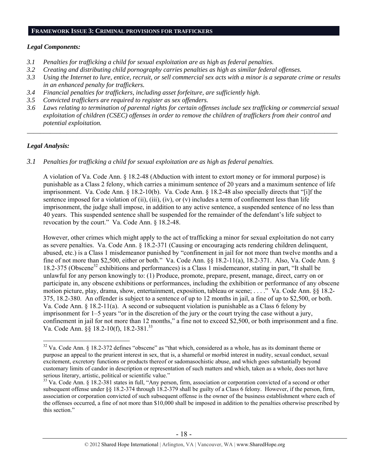#### **FRAMEWORK ISSUE 3: CRIMINAL PROVISIONS FOR TRAFFICKERS**

#### *Legal Components:*

- *3.1 Penalties for trafficking a child for sexual exploitation are as high as federal penalties.*
- *3.2 Creating and distributing child pornography carries penalties as high as similar federal offenses.*
- *3.3 Using the Internet to lure, entice, recruit, or sell commercial sex acts with a minor is a separate crime or results in an enhanced penalty for traffickers.*
- *3.4 Financial penalties for traffickers, including asset forfeiture, are sufficiently high*.
- *3.5 Convicted traffickers are required to register as sex offenders.*
- *3.6 Laws relating to termination of parental rights for certain offenses include sex trafficking or commercial sexual exploitation of children (CSEC) offenses in order to remove the children of traffickers from their control and potential exploitation.*

*\_\_\_\_\_\_\_\_\_\_\_\_\_\_\_\_\_\_\_\_\_\_\_\_\_\_\_\_\_\_\_\_\_\_\_\_\_\_\_\_\_\_\_\_\_\_\_\_\_\_\_\_\_\_\_\_\_\_\_\_\_\_\_\_\_\_\_\_\_\_\_\_\_\_\_\_\_\_\_\_\_\_\_\_\_\_\_\_\_\_\_\_\_\_* 

## *Legal Analysis:*

 $\overline{a}$ 

*3.1 Penalties for trafficking a child for sexual exploitation are as high as federal penalties.* 

A violation of Va. Code Ann. § 18.2-48 (Abduction with intent to extort money or for immoral purpose) is punishable as a Class 2 felony, which carries a minimum sentence of 20 years and a maximum sentence of life imprisonment. Va. Code Ann. § 18.2-10(b). Va. Code Ann. § 18.2-48 also specially directs that "[i]f the sentence imposed for a violation of (ii), (iii), (iv), or (v) includes a term of confinement less than life imprisonment, the judge shall impose, in addition to any active sentence, a suspended sentence of no less than 40 years. This suspended sentence shall be suspended for the remainder of the defendant's life subject to revocation by the court." Va. Code Ann. § 18.2-48.

However, other crimes which might apply to the act of trafficking a minor for sexual exploitation do not carry as severe penalties. Va. Code Ann. § 18.2-371 (Causing or encouraging acts rendering children delinquent, abused, etc.) is a Class 1 misdemeanor punished by "confinement in jail for not more than twelve months and a fine of not more than \$2,500, either or both." Va. Code Ann. §§ 18.2-11(a), 18.2-371. Also, Va. Code Ann. § 18.2-375 (Obscene<sup>32</sup> exhibitions and performances) is a Class 1 misdemeanor, stating in part, "It shall be unlawful for any person knowingly to: (1) Produce, promote, prepare, present, manage, direct, carry on or participate in, any obscene exhibitions or performances, including the exhibition or performance of any obscene motion picture, play, drama, show, entertainment, exposition, tableau or scene; . . . ." Va. Code Ann. §§ 18.2- 375, 18.2-380. An offender is subject to a sentence of up to 12 months in jail, a fine of up to \$2,500, or both. Va. Code Ann. § 18.2-11(a). A second or subsequent violation is punishable as a Class 6 felony by imprisonment for 1–5 years "or in the discretion of the jury or the court trying the case without a jury, confinement in jail for not more than 12 months," a fine not to exceed \$2,500, or both imprisonment and a fine. Va. Code Ann. §§ 18.2-10(f), 18.2-381.33

<sup>&</sup>lt;sup>32</sup> Va. Code Ann. § 18.2-372 defines "obscene" as "that which, considered as a whole, has as its dominant theme or purpose an appeal to the prurient interest in sex, that is, a shameful or morbid interest in nudity, sexual conduct, sexual excitement, excretory functions or products thereof or sadomasochistic abuse, and which goes substantially beyond customary limits of candor in description or representation of such matters and which, taken as a whole, does not have serious literary, artistic, political or scientific value."

<sup>&</sup>lt;sup>33</sup> Va. Code Ann. § 18.2-381 states in full, "Any person, firm, association or corporation convicted of a second or other subsequent offense under §§ 18.2-374 through 18.2-379 shall be guilty of a Class 6 felony. However, if the person, firm, association or corporation convicted of such subsequent offense is the owner of the business establishment where each of the offenses occurred, a fine of not more than \$10,000 shall be imposed in addition to the penalties otherwise prescribed by this section."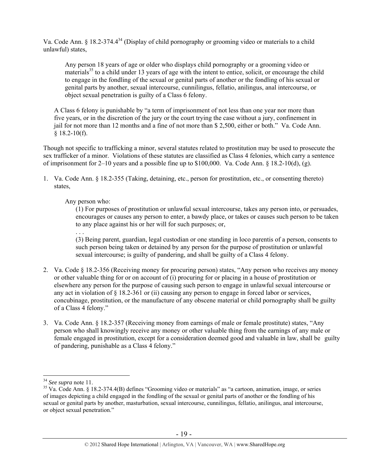Va. Code Ann. § 18.2-374.4<sup>34</sup> (Display of child pornography or grooming video or materials to a child unlawful) states,

Any person 18 years of age or older who displays child pornography or a grooming video or materials<sup>35</sup> to a child under 13 years of age with the intent to entice, solicit, or encourage the child to engage in the fondling of the sexual or genital parts of another or the fondling of his sexual or genital parts by another, sexual intercourse, cunnilingus, fellatio, anilingus, anal intercourse, or object sexual penetration is guilty of a Class 6 felony.

A Class 6 felony is punishable by "a term of imprisonment of not less than one year nor more than five years, or in the discretion of the jury or the court trying the case without a jury, confinement in jail for not more than 12 months and a fine of not more than \$ 2,500, either or both." Va. Code Ann. § 18.2-10(f).

Though not specific to trafficking a minor, several statutes related to prostitution may be used to prosecute the sex trafficker of a minor. Violations of these statutes are classified as Class 4 felonies, which carry a sentence of imprisonment for 2–10 years and a possible fine up to \$100,000. Va. Code Ann. § 18.2-10(d), (g).

1. Va. Code Ann. § 18.2-355 (Taking, detaining, etc., person for prostitution, etc., or consenting thereto) states,

## Any person who:

. . .

(1) For purposes of prostitution or unlawful sexual intercourse, takes any person into, or persuades, encourages or causes any person to enter, a bawdy place, or takes or causes such person to be taken to any place against his or her will for such purposes; or,

(3) Being parent, guardian, legal custodian or one standing in loco parentis of a person, consents to such person being taken or detained by any person for the purpose of prostitution or unlawful sexual intercourse; is guilty of pandering, and shall be guilty of a Class 4 felony.

- 2. Va. Code § 18.2-356 (Receiving money for procuring person) states, "Any person who receives any money or other valuable thing for or on account of (i) procuring for or placing in a house of prostitution or elsewhere any person for the purpose of causing such person to engage in unlawful sexual intercourse or any act in violation of  $\S 18.2$ -361 or (ii) causing any person to engage in forced labor or services, concubinage, prostitution, or the manufacture of any obscene material or child pornography shall be guilty of a Class 4 felony."
- 3. Va. Code Ann. § 18.2-357 (Receiving money from earnings of male or female prostitute) states, "Any person who shall knowingly receive any money or other valuable thing from the earnings of any male or female engaged in prostitution, except for a consideration deemed good and valuable in law, shall be guilty of pandering, punishable as a Class 4 felony."

#### © 2012 Shared Hope International | Arlington, VA | Vancouver, WA | www.SharedHope.org

 $34$  See supra note 11.

<sup>&</sup>lt;sup>35</sup> Va. Code Ann. § 18.2-374.4(B) defines "Grooming video or materials" as "a cartoon, animation, image, or series of images depicting a child engaged in the fondling of the sexual or genital parts of another or the fondling of his sexual or genital parts by another, masturbation, sexual intercourse, cunnilingus, fellatio, anilingus, anal intercourse, or object sexual penetration."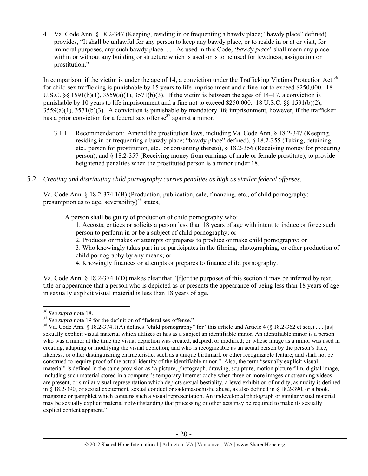4. Va. Code Ann. § 18.2-347 (Keeping, residing in or frequenting a bawdy place; "bawdy place" defined) provides, "It shall be unlawful for any person to keep any bawdy place, or to reside in or at or visit, for immoral purposes, any such bawdy place. . . . As used in this Code, '*bawdy place*' shall mean any place within or without any building or structure which is used or is to be used for lewdness, assignation or prostitution."

In comparison, if the victim is under the age of 14, a conviction under the Trafficking Victims Protection Act  $3<sup>6</sup>$ for child sex trafficking is punishable by 15 years to life imprisonment and a fine not to exceed \$250,000. 18 U.S.C. §§ 1591(b)(1),  $3559(a)(1)$ ,  $3571(b)(3)$ . If the victim is between the ages of 14–17, a conviction is punishable by 10 years to life imprisonment and a fine not to exceed \$250,000. 18 U.S.C. §§ 1591(b)(2), 3559(a)(1), 3571(b)(3). A conviction is punishable by mandatory life imprisonment, however, if the trafficker has a prior conviction for a federal sex offense<sup>37</sup> against a minor.

- 3.1.1 Recommendation: Amend the prostitution laws, including Va. Code Ann. § 18.2-347 (Keeping, residing in or frequenting a bawdy place; "bawdy place" defined), § 18.2-355 (Taking, detaining, etc., person for prostitution, etc., or consenting thereto), § 18.2-356 (Receiving money for procuring person), and § 18.2-357 (Receiving money from earnings of male or female prostitute), to provide heightened penalties when the prostituted person is a minor under 18.
- *3.2 Creating and distributing child pornography carries penalties as high as similar federal offenses*.

Va. Code Ann. § 18.2-374.1(B) (Production, publication, sale, financing, etc., of child pornography; presumption as to age; severability)<sup>38</sup> states,

A person shall be guilty of production of child pornography who:

1. Accosts, entices or solicits a person less than 18 years of age with intent to induce or force such person to perform in or be a subject of child pornography; or

- 2. Produces or makes or attempts or prepares to produce or make child pornography; or
- 3. Who knowingly takes part in or participates in the filming, photographing, or other production of child pornography by any means; or
- 4. Knowingly finances or attempts or prepares to finance child pornography.

Va. Code Ann. § 18.2-374.1(D) makes clear that "[f]or the purposes of this section it may be inferred by text, title or appearance that a person who is depicted as or presents the appearance of being less than 18 years of age in sexually explicit visual material is less than 18 years of age.

 $\overline{a}$ 

<sup>&</sup>lt;sup>36</sup> See supra note 18.<br><sup>37</sup> See supra note 19 for the definition of "federal sex offense."<br><sup>37</sup> Va. Code Ann. § 18.2-374.1(A) defines "child pornography" for "this article and Article 4 (§ 18.2-362 et seq.)... [as] sexually explicit visual material which utilizes or has as a subject an identifiable minor. An identifiable minor is a person who was a minor at the time the visual depiction was created, adapted, or modified; or whose image as a minor was used in creating, adapting or modifying the visual depiction; and who is recognizable as an actual person by the person's face, likeness, or other distinguishing characteristic, such as a unique birthmark or other recognizable feature; and shall not be construed to require proof of the actual identity of the identifiable minor." Also, the term "sexually explicit visual material" is defined in the same provision as "a picture, photograph, drawing, sculpture, motion picture film, digital image, including such material stored in a computer's temporary Internet cache when three or more images or streaming videos are present, or similar visual representation which depicts sexual bestiality, a lewd exhibition of nudity, as nudity is defined in § 18.2-390, or sexual excitement, sexual conduct or sadomasochistic abuse, as also defined in § 18.2-390, or a book, magazine or pamphlet which contains such a visual representation. An undeveloped photograph or similar visual material may be sexually explicit material notwithstanding that processing or other acts may be required to make its sexually explicit content apparent."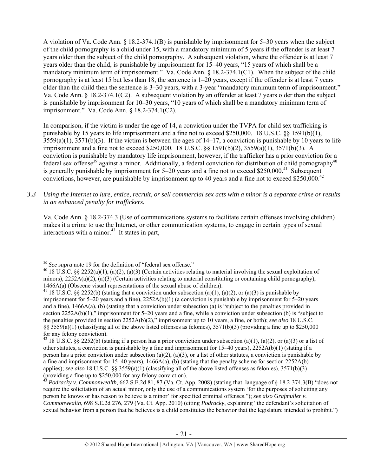A violation of Va. Code Ann. § 18.2-374.1(B) is punishable by imprisonment for 5–30 years when the subject of the child pornography is a child under 15, with a mandatory minimum of 5 years if the offender is at least 7 years older than the subject of the child pornography. A subsequent violation, where the offender is at least 7 years older than the child, is punishable by imprisonment for 15–40 years, "15 years of which shall be a mandatory minimum term of imprisonment." Va. Code Ann. § 18.2-374.1(C1). When the subject of the child pornography is at least 15 but less than 18, the sentence is 1–20 years, except if the offender is at least 7 years older than the child then the sentence is 3–30 years, with a 3-year "mandatory minimum term of imprisonment." Va. Code Ann. § 18.2-374.1(C2). A subsequent violation by an offender at least 7 years older than the subject is punishable by imprisonment for 10–30 years, "10 years of which shall be a mandatory minimum term of imprisonment." Va. Code Ann. § 18.2-374.1(C2).

In comparison, if the victim is under the age of 14, a conviction under the TVPA for child sex trafficking is punishable by 15 years to life imprisonment and a fine not to exceed \$250,000. 18 U.S.C. §§ 1591(b)(1),  $3559(a)(1)$ ,  $3571(b)(3)$ . If the victim is between the ages of  $14-17$ , a conviction is punishable by 10 years to life imprisonment and a fine not to exceed \$250,000. 18 U.S.C. §§ 1591(b)(2), 3559(a)(1), 3571(b)(3). A conviction is punishable by mandatory life imprisonment, however, if the trafficker has a prior conviction for a federal sex offense<sup>39</sup> against a minor. Additionally, a federal conviction for distribution of child pornography<sup>40</sup> is generally punishable by imprisonment for  $5-20$  years and a fine not to exceed \$250,000.<sup>41</sup> Subsequent convictions, however, are punishable by imprisonment up to 40 years and a fine not to exceed \$250,000.<sup>42</sup>

*3.3 Using the Internet to lure, entice, recruit, or sell commercial sex acts with a minor is a separate crime or results in an enhanced penalty for traffickers.* 

Va. Code Ann. § 18.2-374.3 (Use of communications systems to facilitate certain offenses involving children) makes it a crime to use the Internet, or other communication systems, to engage in certain types of sexual interactions with a minor.<sup>43</sup> It states in part,

 $\overline{a}$ 

<sup>&</sup>lt;sup>39</sup> *See supra* note 19 for the definition of "federal sex offense."<br><sup>40</sup> 18 U.S.C. §§ 2252(a)(1), (a)(2), (a)(3) (Certain activities relating to material involving the sexual exploitation of minors),  $2252A(a)(2)$ ,  $(a)(3)$  (Certain activities relating to material constituting or containing child pornography),

<sup>1466</sup>A(a) (Obscene visual representations of the sexual abuse of children).<br><sup>41</sup> 18 U.S.C. §§ 2252(b) (stating that a conviction under subsection (a)(1), (a)(2), or (a)(3) is punishable by imprisonment for 5–20 years and a fine), 2252A(b)(1) (a conviction is punishable by imprisonment for 5–20 years and a fine), 1466A(a), (b) (stating that a conviction under subsection (a) is "subject to the penalties provided in section 2252A(b)(1)," imprisonment for 5–20 years and a fine, while a conviction under subsection (b) is "subject to the penalties provided in section 2252A(b)(2)," imprisonment up to 10 years, a fine, or both); *see also* 18 U.S.C. §§ 3559(a)(1) (classifying all of the above listed offenses as felonies), 3571(b)(3) (providing a fine up to \$250,000 for any felony conviction).

<sup>&</sup>lt;sup>42</sup> 18 U.S.C. §§ 2252(b) (stating if a person has a prior conviction under subsection (a)(1), (a)(2), or (a)(3) or a list of other statutes, a conviction is punishable by a fine and imprisonment for  $15-40$  years),  $2252A(b)(1)$  (stating if a person has a prior conviction under subsection (a)(2), (a)(3), or a list of other statutes, a conviction is punishable by a fine and imprisonment for 15–40 years),  $1466A(a)$ , (b) (stating that the penalty scheme for section 2252A(b) applies); *see also* 18 U.S.C. §§ 3559(a)(1) (classifying all of the above listed offenses as felonies), 3571(b)(3) (providing a fine up to \$250,000 for any felony conviction).

<sup>43</sup> *Podracky v. Commonwealth*, 662 S.E.2d 81, 87 (Va. Ct. App. 2008) (stating that language of § 18.2-374.3(B) "does not require the solicitation of an actual minor, only the use of a communications system 'for the purposes of soliciting any person he knows or has reason to believe is a minor' for specified criminal offenses."); *see also Grafmuller v. Commonwealth*, 698 S.E.2d 276, 279 (Va. Ct. App. 2010) (citing *Podracky*, explaining "the defendant's solicitation of sexual behavior from a person that he believes is a child constitutes the behavior that the legislature intended to prohibit.")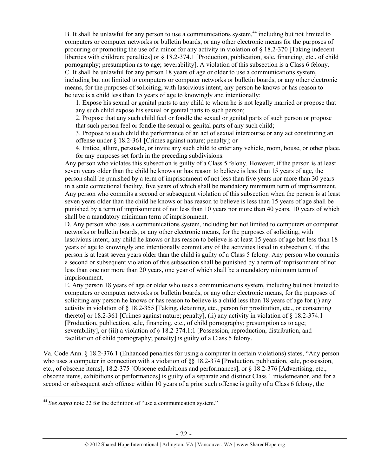B. It shall be unlawful for any person to use a communications system,<sup>44</sup> including but not limited to computers or computer networks or bulletin boards, or any other electronic means for the purposes of procuring or promoting the use of a minor for any activity in violation of § 18.2-370 [Taking indecent liberties with children; penalties] or § 18.2-374.1 [Production, publication, sale, financing, etc., of child pornography; presumption as to age; severability]. A violation of this subsection is a Class 6 felony. C. It shall be unlawful for any person 18 years of age or older to use a communications system, including but not limited to computers or computer networks or bulletin boards, or any other electronic means, for the purposes of soliciting, with lascivious intent, any person he knows or has reason to believe is a child less than 15 years of age to knowingly and intentionally:

1. Expose his sexual or genital parts to any child to whom he is not legally married or propose that any such child expose his sexual or genital parts to such person;

2. Propose that any such child feel or fondle the sexual or genital parts of such person or propose that such person feel or fondle the sexual or genital parts of any such child;

3. Propose to such child the performance of an act of sexual intercourse or any act constituting an offense under § 18.2-361 [Crimes against nature; penalty]; or

4. Entice, allure, persuade, or invite any such child to enter any vehicle, room, house, or other place, for any purposes set forth in the preceding subdivisions.

Any person who violates this subsection is guilty of a Class 5 felony. However, if the person is at least seven years older than the child he knows or has reason to believe is less than 15 years of age, the person shall be punished by a term of imprisonment of not less than five years nor more than 30 years in a state correctional facility, five years of which shall be mandatory minimum term of imprisonment. Any person who commits a second or subsequent violation of this subsection when the person is at least seven years older than the child he knows or has reason to believe is less than 15 years of age shall be punished by a term of imprisonment of not less than 10 years nor more than 40 years, 10 years of which shall be a mandatory minimum term of imprisonment.

D. Any person who uses a communications system, including but not limited to computers or computer networks or bulletin boards, or any other electronic means, for the purposes of soliciting, with lascivious intent, any child he knows or has reason to believe is at least 15 years of age but less than 18 years of age to knowingly and intentionally commit any of the activities listed in subsection C if the person is at least seven years older than the child is guilty of a Class 5 felony. Any person who commits a second or subsequent violation of this subsection shall be punished by a term of imprisonment of not less than one nor more than 20 years, one year of which shall be a mandatory minimum term of imprisonment.

E. Any person 18 years of age or older who uses a communications system, including but not limited to computers or computer networks or bulletin boards, or any other electronic means, for the purposes of soliciting any person he knows or has reason to believe is a child less than 18 years of age for (i) any activity in violation of § 18.2-355 [Taking, detaining, etc., person for prostitution, etc., or consenting thereto] or 18.2-361 [Crimes against nature; penalty], (ii) any activity in violation of § 18.2-374.1 [Production, publication, sale, financing, etc., of child pornography; presumption as to age; severability], or (iii) a violation of § 18.2-374.1:1 [Possession, reproduction, distribution, and facilitation of child pornography; penalty] is guilty of a Class 5 felony.

Va. Code Ann. § 18.2-376.1 (Enhanced penalties for using a computer in certain violations) states, "Any person who uses a computer in connection with a violation of  $\S$ § 18.2-374 [Production, publication, sale, possession, etc., of obscene items], 18.2-375 [Obscene exhibitions and performances], or § 18.2-376 [Advertising, etc., obscene items, exhibitions or performances] is guilty of a separate and distinct Class 1 misdemeanor, and for a second or subsequent such offense within 10 years of a prior such offense is guilty of a Class 6 felony, the

<sup>&</sup>lt;sup>44</sup> See supra note 22 for the definition of "use a communication system."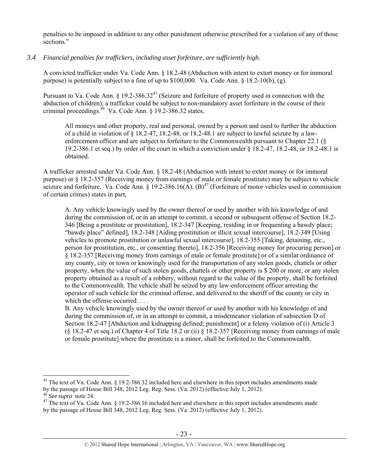penalties to be imposed in addition to any other punishment otherwise prescribed for a violation of any of those sections."

*3.4 Financial penalties for traffickers, including asset forfeiture, are sufficiently high*.

A convicted trafficker under Va. Code Ann. § 18.2-48 (Abduction with intent to extort money or for immoral purpose) is potentially subject to a fine of up to \$100,000. Va. Code Ann. § 18.2-10(b), (g).

Pursuant to Va. Code Ann. § 19.2-386.32<sup>45</sup> (Seizure and forfeiture of property used in connection with the abduction of children), a trafficker could be subject to non-mandatory asset forfeiture in the course of their criminal proceedings. $46$  Va. Code Ann. § 19.2-386.32 states,

All moneys and other property, real and personal, owned by a person and used to further the abduction of a child in violation of § 18.2-47, 18.2-48, or 18.2-48.1 are subject to lawful seizure by a lawenforcement officer and are subject to forfeiture to the Commonwealth pursuant to Chapter 22.1 (§ 19.2-386.1 et seq.) by order of the court in which a conviction under § 18.2-47, 18.2-48, or 18.2-48.1 is obtained.

A trafficker arrested under Va. Code Ann. § 18.2-48 (Abduction with intent to extort money or for immoral purpose) or § 18.2-357 (Receiving money from earnings of male or female prostitute) may be subject to vehicle seizure and forfeiture. Va. Code Ann.  $\S 19.2-386.16(A)$ ,  $(B)^{47}$  (Forfeiture of motor vehicles used in commission of certain crimes) states in part,

A. Any vehicle knowingly used by the owner thereof or used by another with his knowledge of and during the commission of, or in an attempt to commit, a second or subsequent offense of Section 18.2- 346 [Being a prostitute or prostitution], 18.2-347 [Keeping, residing in or frequenting a bawdy place; "bawdy place" defined], 18.2-348 [Aiding prostitution or illicit sexual intercourse], 18.2-349 [Using vehicles to promote prostitution or unlawful sexual intercourse], 18.2-355 [Taking, detaining, etc., person for prostitution, etc., or consenting thereto], 18.2-356 [Receiving money for procuring person] or § 18.2-357 [Receiving money from earnings of male or female prostitute] or of a similar ordinance of any county, city or town or knowingly used for the transportation of any stolen goods, chattels or other property, when the value of such stolen goods, chattels or other property is \$ 200 or more, or any stolen property obtained as a result of a robbery, without regard to the value of the property, shall be forfeited to the Commonwealth. The vehicle shall be seized by any law-enforcement officer arresting the operator of such vehicle for the criminal offense, and delivered to the sheriff of the county or city in which the offense occurred. . . .

B. Any vehicle knowingly used by the owner thereof or used by another with his knowledge of and during the commission of, or in an attempt to commit, a misdemeanor violation of subsection D of Section 18.2-47 [Abduction and kidnapping defined; punishment] or a felony violation of (i) Article 3 (§ 18.2-47 et seq.) of Chapter 4 of Title 18.2 or (ii) § 18.2-357 [Receiving money from earnings of male or female prostitute] where the prostitute is a minor, shall be forfeited to the Commonwealth.

 $45$  The text of Va. Code Ann. § 19.2-386.32 included here and elsewhere in this report includes amendments made by the passage of House Bill 348, 2012 Leg. Reg. Sess. (Va. 2012) (effective July 1, 2012).<br>
<sup>46</sup> See supra note 24.<br>
<sup>47</sup> The text of Va. Code Ann. § 19.2-386.16 included here and elsewhere in this report includes amendme

by the passage of House Bill 348, 2012 Leg. Reg. Sess. (Va. 2012) (effective July 1, 2012).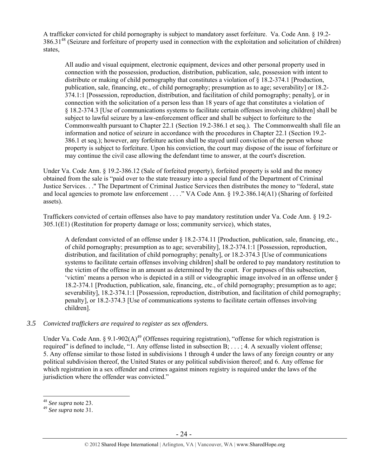A trafficker convicted for child pornography is subject to mandatory asset forfeiture. Va. Code Ann. § 19.2- 386.3148 (Seizure and forfeiture of property used in connection with the exploitation and solicitation of children) states,

All audio and visual equipment, electronic equipment, devices and other personal property used in connection with the possession, production, distribution, publication, sale, possession with intent to distribute or making of child pornography that constitutes a violation of  $\S 18.2-374.1$  [Production, publication, sale, financing, etc., of child pornography; presumption as to age; severability] or 18.2- 374.1:1 [Possession, reproduction, distribution, and facilitation of child pornography; penalty], or in connection with the solicitation of a person less than 18 years of age that constitutes a violation of § 18.2-374.3 [Use of communications systems to facilitate certain offenses involving children] shall be subject to lawful seizure by a law-enforcement officer and shall be subject to forfeiture to the Commonwealth pursuant to Chapter 22.1 (Section 19.2-386.1 et seq.). The Commonwealth shall file an information and notice of seizure in accordance with the procedures in Chapter 22.1 (Section 19.2- 386.1 et seq.); however, any forfeiture action shall be stayed until conviction of the person whose property is subject to forfeiture. Upon his conviction, the court may dispose of the issue of forfeiture or may continue the civil case allowing the defendant time to answer, at the court's discretion.

Under Va. Code Ann. § 19.2-386.12 (Sale of forfeited property), forfeited property is sold and the money obtained from the sale is "paid over to the state treasury into a special fund of the Department of Criminal Justice Services. . ." The Department of Criminal Justice Services then distributes the money to "federal, state and local agencies to promote law enforcement . . . ." VA Code Ann. § 19.2-386.14(A1) (Sharing of forfeited assets).

Traffickers convicted of certain offenses also have to pay mandatory restitution under Va. Code Ann. § 19.2- 305.1(E1) (Restitution for property damage or loss; community service), which states,

A defendant convicted of an offense under § 18.2-374.11 [Production, publication, sale, financing, etc., of child pornography; presumption as to age; severability], 18.2-374.1:1 [Possession, reproduction, distribution, and facilitation of child pornography; penalty], or 18.2-374.3 [Use of communications systems to facilitate certain offenses involving children] shall be ordered to pay mandatory restitution to the victim of the offense in an amount as determined by the court. For purposes of this subsection, 'victim' means a person who is depicted in a still or videographic image involved in an offense under § 18.2-374.1 [Production, publication, sale, financing, etc., of child pornography; presumption as to age; severability], 18.2-374.1:1 [Possession, reproduction, distribution, and facilitation of child pornography; penalty], or 18.2-374.3 [Use of communications systems to facilitate certain offenses involving children].

## *3.5 Convicted traffickers are required to register as sex offenders.*

Under Va. Code Ann. § 9.1-902(A)<sup>49</sup> (Offenses requiring registration), "offense for which registration is required" is defined to include, "1. Any offense listed in subsection B; . . . ; 4. A sexually violent offense; 5. Any offense similar to those listed in subdivisions 1 through 4 under the laws of any foreign country or any political subdivision thereof, the United States or any political subdivision thereof; and 6. Any offense for which registration in a sex offender and crimes against minors registry is required under the laws of the jurisdiction where the offender was convicted."

<sup>48</sup> *See supra* note 23. 49 *See supra* note 31.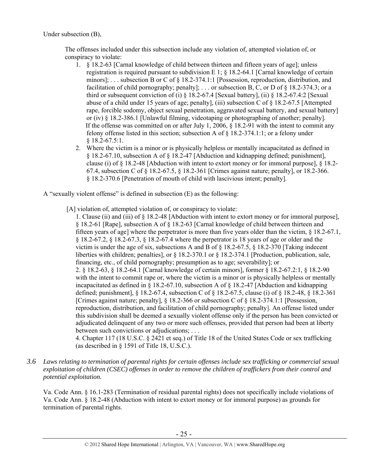Under subsection (B),

The offenses included under this subsection include any violation of, attempted violation of, or conspiracy to violate:

- 1. § 18.2-63 [Carnal knowledge of child between thirteen and fifteen years of age]; unless registration is required pursuant to subdivision E 1; § 18.2-64.1 [Carnal knowledge of certain minors]; . . . subsection B or C of § 18.2-374.1:1 [Possession, reproduction, distribution, and facilitation of child pornography; penalty]; ... or subsection B, C, or D of  $\S$  18.2-374.3; or a third or subsequent conviction of (i) § 18.2-67.4 [Sexual battery], (ii) § 18.2-67.4:2 [Sexual abuse of a child under 15 years of age; penalty], (iii) subsection C of § 18.2-67.5 [Attempted rape, forcible sodomy, object sexual penetration, aggravated sexual battery, and sexual battery] or (iv) § 18.2-386.1 [Unlawful filming, videotaping or photographing of another; penalty]. If the offense was committed on or after July 1, 2006, § 18.2-91 with the intent to commit any felony offense listed in this section; subsection A of  $\frac{8}{18.2}$ -374.1:1; or a felony under § 18.2-67.5:1.
- 2. Where the victim is a minor or is physically helpless or mentally incapacitated as defined in § 18.2-67.10, subsection A of § 18.2-47 [Abduction and kidnapping defined; punishment], clause (i) of § 18.2-48 [Abduction with intent to extort money or for immoral purpose], § 18.2- 67.4, subsection C of § 18.2-67.5, § 18.2-361 [Crimes against nature; penalty], or 18.2-366. § 18.2-370.6 [Penetration of mouth of child with lascivious intent; penalty].

A "sexually violent offense" is defined in subsection (E) as the following:

[A] violation of, attempted violation of, or conspiracy to violate:

1. Clause (ii) and (iii) of § 18.2-48 [Abduction with intent to extort money or for immoral purpose], § 18.2-61 [Rape], subsection A of § 18.2-63 [Carnal knowledge of child between thirteen and fifteen years of age] where the perpetrator is more than five years older than the victim, § 18.2-67.1, § 18.2-67.2, § 18.2-67.3, § 18.2-67.4 where the perpetrator is 18 years of age or older and the victim is under the age of six, subsections A and B of  $\S$  18.2-67.5,  $\S$  18.2-370 [Taking indecent] liberties with children; penalties], or § 18.2-370.1 or § 18.2-374.1 [Production, publication, sale, financing, etc., of child pornography; presumption as to age; severability]; or 2. § 18.2-63, § 18.2-64.1 [Carnal knowledge of certain minors], former § 18.2-67.2:1, § 18.2-90 with the intent to commit rape or, where the victim is a minor or is physically helpless or mentally incapacitated as defined in  $\S 18.2-67.10$ , subsection A of  $\S 18.2-47$  [Abduction and kidnapping defined; punishment], § 18.2-67.4, subsection C of § 18.2-67.5, clause (i) of § 18.2-48, § 18.2-361 [Crimes against nature; penalty], § 18.2-366 or subsection C of § 18.2-374.1:1 [Possession, reproduction, distribution, and facilitation of child pornography; penalty]. An offense listed under this subdivision shall be deemed a sexually violent offense only if the person has been convicted or adjudicated delinquent of any two or more such offenses, provided that person had been at liberty between such convictions or adjudications; . . .

4. Chapter 117 (18 U.S.C. § 2421 et seq.) of Title 18 of the United States Code or sex trafficking (as described in § 1591 of Title 18, U.S.C.).

*3.6 Laws relating to termination of parental rights for certain offenses include sex trafficking or commercial sexual exploitation of children (CSEC) offenses in order to remove the children of traffickers from their control and potential exploitation.* 

Va. Code Ann. § 16.1-283 (Termination of residual parental rights) does not specifically include violations of Va. Code Ann. § 18.2-48 (Abduction with intent to extort money or for immoral purpose) as grounds for termination of parental rights.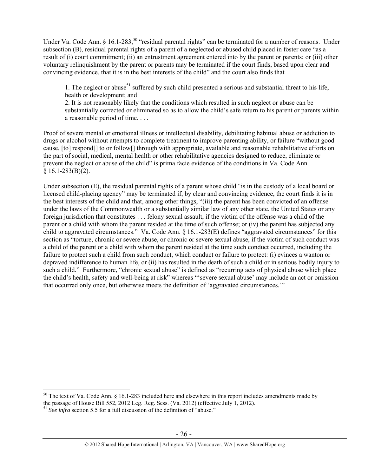Under Va. Code Ann. § 16.1-283,<sup>50</sup> "residual parental rights" can be terminated for a number of reasons. Under subsection (B), residual parental rights of a parent of a neglected or abused child placed in foster care "as a result of (i) court commitment; (ii) an entrustment agreement entered into by the parent or parents; or (iii) other voluntary relinquishment by the parent or parents may be terminated if the court finds, based upon clear and convincing evidence, that it is in the best interests of the child" and the court also finds that

1. The neglect or abuse<sup>51</sup> suffered by such child presented a serious and substantial threat to his life, health or development; and

2. It is not reasonably likely that the conditions which resulted in such neglect or abuse can be substantially corrected or eliminated so as to allow the child's safe return to his parent or parents within a reasonable period of time. . . .

Proof of severe mental or emotional illness or intellectual disability, debilitating habitual abuse or addiction to drugs or alcohol without attempts to complete treatment to improve parenting ability, or failure "without good cause, [to] respond[] to or follow[] through with appropriate, available and reasonable rehabilitative efforts on the part of social, medical, mental health or other rehabilitative agencies designed to reduce, eliminate or prevent the neglect or abuse of the child" is prima facie evidence of the conditions in Va. Code Ann.  $$16.1-283(B)(2).$ 

Under subsection (E), the residual parental rights of a parent whose child "is in the custody of a local board or licensed child-placing agency" may be terminated if, by clear and convincing evidence, the court finds it is in the best interests of the child and that, among other things, "(iii) the parent has been convicted of an offense under the laws of the Commonwealth or a substantially similar law of any other state, the United States or any foreign jurisdiction that constitutes . . . felony sexual assault, if the victim of the offense was a child of the parent or a child with whom the parent resided at the time of such offense; or (iv) the parent has subjected any child to aggravated circumstances." Va. Code Ann. § 16.1-283(E) defines "aggravated circumstances" for this section as "torture, chronic or severe abuse, or chronic or severe sexual abuse, if the victim of such conduct was a child of the parent or a child with whom the parent resided at the time such conduct occurred, including the failure to protect such a child from such conduct, which conduct or failure to protect: (i) evinces a wanton or depraved indifference to human life, or (ii) has resulted in the death of such a child or in serious bodily injury to such a child." Furthermore, "chronic sexual abuse" is defined as "recurring acts of physical abuse which place the child's health, safety and well-being at risk" whereas "'severe sexual abuse' may include an act or omission that occurred only once, but otherwise meets the definition of 'aggravated circumstances.'"

 $50$  The text of Va. Code Ann. § 16.1-283 included here and elsewhere in this report includes amendments made by the passage of House Bill 552, 2012 Leg. Reg. Sess. (Va. 2012) (effective July 1, 2012). 51 *See infra* section 5.5 for a full discussion of the definition of "abuse."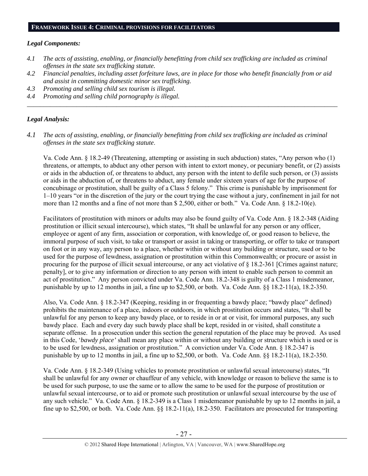#### **FRAMEWORK ISSUE 4: CRIMINAL PROVISIONS FOR FACILITATORS**

#### *Legal Components:*

- *4.1 The acts of assisting, enabling, or financially benefitting from child sex trafficking are included as criminal offenses in the state sex trafficking statute.*
- *4.2 Financial penalties, including asset forfeiture laws, are in place for those who benefit financially from or aid and assist in committing domestic minor sex trafficking.*
- *4.3 Promoting and selling child sex tourism is illegal.*
- *4.4 Promoting and selling child pornography is illegal. \_\_\_\_\_\_\_\_\_\_\_\_\_\_\_\_\_\_\_\_\_\_\_\_\_\_\_\_\_\_\_\_\_\_\_\_\_\_\_\_\_\_\_\_\_\_\_\_\_\_\_\_\_\_\_\_\_\_\_\_\_\_\_\_\_\_\_\_\_\_\_\_\_\_\_\_\_\_\_\_\_\_\_\_\_\_\_\_\_\_\_\_\_\_*

# *Legal Analysis:*

*4.1 The acts of assisting, enabling, or financially benefitting from child sex trafficking are included as criminal offenses in the state sex trafficking statute*.

Va. Code Ann. § 18.2-49 (Threatening, attempting or assisting in such abduction) states, "Any person who (1) threatens, or attempts, to abduct any other person with intent to extort money, or pecuniary benefit, or (2) assists or aids in the abduction of, or threatens to abduct, any person with the intent to defile such person, or (3) assists or aids in the abduction of, or threatens to abduct, any female under sixteen years of age for the purpose of concubinage or prostitution, shall be guilty of a Class 5 felony." This crime is punishable by imprisonment for 1–10 years "or in the discretion of the jury or the court trying the case without a jury, confinement in jail for not more than 12 months and a fine of not more than \$ 2,500, either or both." Va. Code Ann. § 18.2-10(e).

Facilitators of prostitution with minors or adults may also be found guilty of Va. Code Ann. § 18.2-348 (Aiding prostitution or illicit sexual intercourse), which states, "It shall be unlawful for any person or any officer, employee or agent of any firm, association or corporation, with knowledge of, or good reason to believe, the immoral purpose of such visit, to take or transport or assist in taking or transporting, or offer to take or transport on foot or in any way, any person to a place, whether within or without any building or structure, used or to be used for the purpose of lewdness, assignation or prostitution within this Commonwealth; or procure or assist in procuring for the purpose of illicit sexual intercourse, or any act violative of § 18.2-361 [Crimes against nature; penalty], or to give any information or direction to any person with intent to enable such person to commit an act of prostitution." Any person convicted under Va. Code Ann. 18.2-348 is guilty of a Class 1 misdemeanor, punishable by up to 12 months in jail, a fine up to \$2,500, or both. Va. Code Ann. §§ 18.2-11(a), 18.2-350.

Also, Va. Code Ann. § 18.2-347 (Keeping, residing in or frequenting a bawdy place; "bawdy place" defined) prohibits the maintenance of a place, indoors or outdoors, in which prostitution occurs and states, "It shall be unlawful for any person to keep any bawdy place, or to reside in or at or visit, for immoral purposes, any such bawdy place. Each and every day such bawdy place shall be kept, resided in or visited, shall constitute a separate offense. In a prosecution under this section the general reputation of the place may be proved. As used in this Code, '*bawdy place'* shall mean any place within or without any building or structure which is used or is to be used for lewdness, assignation or prostitution." A conviction under Va. Code Ann. § 18.2-347 is punishable by up to 12 months in jail, a fine up to \$2,500, or both. Va. Code Ann. §§ 18.2-11(a), 18.2-350.

Va. Code Ann. § 18.2-349 (Using vehicles to promote prostitution or unlawful sexual intercourse) states, "It shall be unlawful for any owner or chauffeur of any vehicle, with knowledge or reason to believe the same is to be used for such purpose, to use the same or to allow the same to be used for the purpose of prostitution or unlawful sexual intercourse, or to aid or promote such prostitution or unlawful sexual intercourse by the use of any such vehicle." Va. Code Ann. § 18.2-349 is a Class 1 misdemeanor punishable by up to 12 months in jail, a fine up to \$2,500, or both. Va. Code Ann. §§ 18.2-11(a), 18.2-350. Facilitators are prosecuted for transporting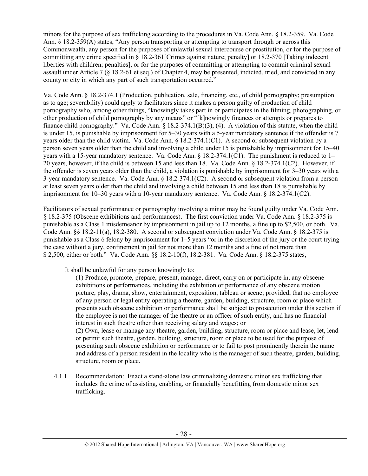minors for the purpose of sex trafficking according to the procedures in Va. Code Ann. § 18.2-359. Va. Code Ann. § 18.2-359(A) states, "Any person transporting or attempting to transport through or across this Commonwealth, any person for the purposes of unlawful sexual intercourse or prostitution, or for the purpose of committing any crime specified in § 18.2-361[Crimes against nature; penalty] or 18.2-370 [Taking indecent liberties with children; penalties], or for the purposes of committing or attempting to commit criminal sexual assault under Article 7 (§ 18.2-61 et seq.) of Chapter 4, may be presented, indicted, tried, and convicted in any county or city in which any part of such transportation occurred."

Va. Code Ann. § 18.2-374.1 (Production, publication, sale, financing, etc., of child pornography; presumption as to age; severability) could apply to facilitators since it makes a person guilty of production of child pornography who, among other things, "knowingly takes part in or participates in the filming, photographing, or other production of child pornography by any means" or "[k]nowingly finances or attempts or prepares to finance child pornography." Va. Code Ann.  $\S$  18.2-374.1(B)(3), (4). A violation of this statute, when the child is under 15, is punishable by imprisonment for 5–30 years with a 5-year mandatory sentence if the offender is 7 years older than the child victim. Va. Code Ann. § 18.2-374.1(C1). A second or subsequent violation by a person seven years older than the child and involving a child under 15 is punishable by imprisonment for 15–40 years with a 15-year mandatory sentence. Va. Code Ann. § 18.2-374.1(C1). The punishment is reduced to 1– 20 years, however, if the child is between 15 and less than 18. Va. Code Ann. § 18.2-374.1(C2). However, if the offender is seven years older than the child, a violation is punishable by imprisonment for 3–30 years with a 3-year mandatory sentence. Va. Code Ann. § 18.2-374.1(C2). A second or subsequent violation from a person at least seven years older than the child and involving a child between 15 and less than 18 is punishable by imprisonment for 10–30 years with a 10-year mandatory sentence. Va. Code Ann. § 18.2-374.1(C2).

Facilitators of sexual performance or pornography involving a minor may be found guilty under Va. Code Ann. § 18.2-375 (Obscene exhibitions and performances). The first conviction under Va. Code Ann. § 18.2-375 is punishable as a Class 1 misdemeanor by imprisonment in jail up to 12 months, a fine up to \$2,500, or both. Va. Code Ann. §§ 18.2-11(a), 18.2-380. A second or subsequent conviction under Va. Code Ann. § 18.2-375 is punishable as a Class 6 felony by imprisonment for 1–5 years "or in the discretion of the jury or the court trying the case without a jury, confinement in jail for not more than 12 months and a fine of not more than \$ 2,500, either or both." Va. Code Ann. §§ 18.2-10(f), 18.2-381. Va. Code Ann. § 18.2-375 states,

It shall be unlawful for any person knowingly to:

(1) Produce, promote, prepare, present, manage, direct, carry on or participate in, any obscene exhibitions or performances, including the exhibition or performance of any obscene motion picture, play, drama, show, entertainment, exposition, tableau or scene; provided, that no employee of any person or legal entity operating a theatre, garden, building, structure, room or place which presents such obscene exhibition or performance shall be subject to prosecution under this section if the employee is not the manager of the theatre or an officer of such entity, and has no financial interest in such theatre other than receiving salary and wages; or

(2) Own, lease or manage any theatre, garden, building, structure, room or place and lease, let, lend or permit such theatre, garden, building, structure, room or place to be used for the purpose of presenting such obscene exhibition or performance or to fail to post prominently therein the name and address of a person resident in the locality who is the manager of such theatre, garden, building, structure, room or place.

4.1.1 Recommendation: Enact a stand-alone law criminalizing domestic minor sex trafficking that includes the crime of assisting, enabling, or financially benefitting from domestic minor sex trafficking.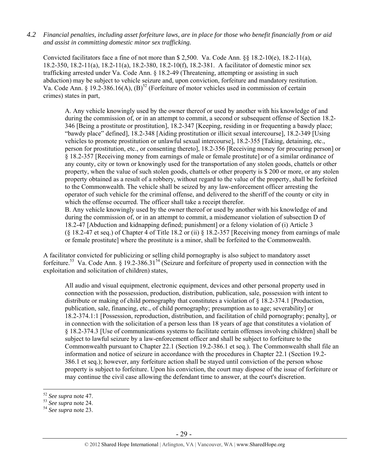*4.2 Financial penalties, including asset forfeiture laws, are in place for those who benefit financially from or aid and assist in committing domestic minor sex trafficking.* 

Convicted facilitators face a fine of not more than  $$ 2,500$ . Va. Code Ann.  $§$   $$ 18.2-10(e)$ ,  $18.2-11(a)$ , 18.2-350, 18.2-11(a), 18.2-11(a), 18.2-380, 18.2-10(f), 18.2-381. A facilitator of domestic minor sex trafficking arrested under Va. Code Ann. § 18.2-49 (Threatening, attempting or assisting in such abduction) may be subject to vehicle seizure and, upon conviction, forfeiture and mandatory restitution. Va. Code Ann. § 19.2-386.16(A),  $(B)^{52}$  (Forfeiture of motor vehicles used in commission of certain crimes) states in part,

A. Any vehicle knowingly used by the owner thereof or used by another with his knowledge of and during the commission of, or in an attempt to commit, a second or subsequent offense of Section 18.2- 346 [Being a prostitute or prostitution], 18.2-347 [Keeping, residing in or frequenting a bawdy place; "bawdy place" defined], 18.2-348 [Aiding prostitution or illicit sexual intercourse], 18.2-349 [Using vehicles to promote prostitution or unlawful sexual intercourse], 18.2-355 [Taking, detaining, etc., person for prostitution, etc., or consenting thereto], 18.2-356 [Receiving money for procuring person] or § 18.2-357 [Receiving money from earnings of male or female prostitute] or of a similar ordinance of any county, city or town or knowingly used for the transportation of any stolen goods, chattels or other property, when the value of such stolen goods, chattels or other property is \$ 200 or more, or any stolen property obtained as a result of a robbery, without regard to the value of the property, shall be forfeited to the Commonwealth. The vehicle shall be seized by any law-enforcement officer arresting the operator of such vehicle for the criminal offense, and delivered to the sheriff of the county or city in which the offense occurred. The officer shall take a receipt therefor. B. Any vehicle knowingly used by the owner thereof or used by another with his knowledge of and during the commission of, or in an attempt to commit, a misdemeanor violation of subsection D of

18.2-47 [Abduction and kidnapping defined; punishment] or a felony violation of (i) Article 3 (§ 18.2-47 et seq.) of Chapter 4 of Title 18.2 or (ii) § 18.2-357 [Receiving money from earnings of male or female prostitute] where the prostitute is a minor, shall be forfeited to the Commonwealth.

A facilitator convicted for publicizing or selling child pornography is also subject to mandatory asset forfeiture.<sup>53</sup> Va. Code Ann. § 19.2-386.31<sup>54</sup> (Seizure and forfeiture of property used in connection with the exploitation and solicitation of children) states,

All audio and visual equipment, electronic equipment, devices and other personal property used in connection with the possession, production, distribution, publication, sale, possession with intent to distribute or making of child pornography that constitutes a violation of § 18.2-374.1 [Production, publication, sale, financing, etc., of child pornography; presumption as to age; severability] or 18.2-374.1:1 [Possession, reproduction, distribution, and facilitation of child pornography; penalty], or in connection with the solicitation of a person less than 18 years of age that constitutes a violation of § 18.2-374.3 [Use of communications systems to facilitate certain offenses involving children] shall be subject to lawful seizure by a law-enforcement officer and shall be subject to forfeiture to the Commonwealth pursuant to Chapter 22.1 (Section 19.2-386.1 et seq.). The Commonwealth shall file an information and notice of seizure in accordance with the procedures in Chapter 22.1 (Section 19.2- 386.1 et seq.); however, any forfeiture action shall be stayed until conviction of the person whose property is subject to forfeiture. Upon his conviction, the court may dispose of the issue of forfeiture or may continue the civil case allowing the defendant time to answer, at the court's discretion.

<sup>52</sup> *See supra* note 47. 53 *See supra* note 24. 54 *See supra* note 23.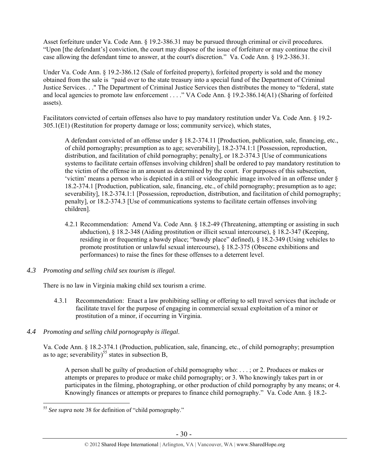Asset forfeiture under Va. Code Ann. § 19.2-386.31 may be pursued through criminal or civil procedures. "Upon [the defendant's] conviction, the court may dispose of the issue of forfeiture or may continue the civil case allowing the defendant time to answer, at the court's discretion." Va. Code Ann. § 19.2-386.31.

Under Va. Code Ann. § 19.2-386.12 (Sale of forfeited property), forfeited property is sold and the money obtained from the sale is "paid over to the state treasury into a special fund of the Department of Criminal Justice Services. . ." The Department of Criminal Justice Services then distributes the money to "federal, state and local agencies to promote law enforcement . . . ." VA Code Ann. § 19.2-386.14(A1) (Sharing of forfeited assets).

Facilitators convicted of certain offenses also have to pay mandatory restitution under Va. Code Ann. § 19.2- 305.1(E1) (Restitution for property damage or loss; community service), which states,

A defendant convicted of an offense under § 18.2-374.11 [Production, publication, sale, financing, etc., of child pornography; presumption as to age; severability], 18.2-374.1:1 [Possession, reproduction, distribution, and facilitation of child pornography; penalty], or 18.2-374.3 [Use of communications systems to facilitate certain offenses involving children] shall be ordered to pay mandatory restitution to the victim of the offense in an amount as determined by the court. For purposes of this subsection, 'victim' means a person who is depicted in a still or videographic image involved in an offense under § 18.2-374.1 [Production, publication, sale, financing, etc., of child pornography; presumption as to age; severability], 18.2-374.1:1 [Possession, reproduction, distribution, and facilitation of child pornography; penalty], or 18.2-374.3 [Use of communications systems to facilitate certain offenses involving children].

- 4.2.1 Recommendation: Amend Va. Code Ann. § 18.2-49 (Threatening, attempting or assisting in such abduction), § 18.2-348 (Aiding prostitution or illicit sexual intercourse), § 18.2-347 (Keeping, residing in or frequenting a bawdy place; "bawdy place" defined), § 18.2-349 (Using vehicles to promote prostitution or unlawful sexual intercourse), § 18.2-375 (Obscene exhibitions and performances) to raise the fines for these offenses to a deterrent level.
- *4.3 Promoting and selling child sex tourism is illegal*.

There is no law in Virginia making child sex tourism a crime.

- 4.3.1 Recommendation: Enact a law prohibiting selling or offering to sell travel services that include or facilitate travel for the purpose of engaging in commercial sexual exploitation of a minor or prostitution of a minor, if occurring in Virginia.
- *4.4 Promoting and selling child pornography is illegal*.

Va. Code Ann. § 18.2-374.1 (Production, publication, sale, financing, etc., of child pornography; presumption as to age; severability)<sup>55</sup> states in subsection B,

A person shall be guilty of production of child pornography who: . . . ; or 2. Produces or makes or attempts or prepares to produce or make child pornography; or 3. Who knowingly takes part in or participates in the filming, photographing, or other production of child pornography by any means; or 4. Knowingly finances or attempts or prepares to finance child pornography." Va. Code Ann. § 18.2-

 $\overline{a}$ <sup>55</sup> *See supra* note 38 for definition of "child pornography."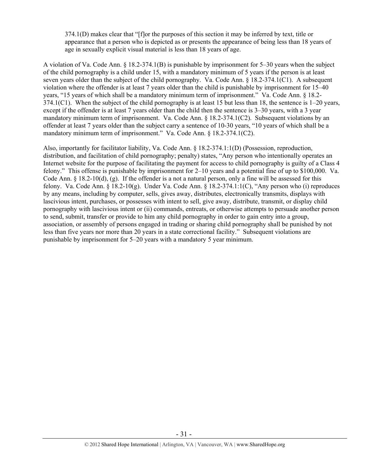374.1(D) makes clear that "[f]or the purposes of this section it may be inferred by text, title or appearance that a person who is depicted as or presents the appearance of being less than 18 years of age in sexually explicit visual material is less than 18 years of age.

A violation of Va. Code Ann. § 18.2-374.1(B) is punishable by imprisonment for 5–30 years when the subject of the child pornography is a child under 15, with a mandatory minimum of 5 years if the person is at least seven years older than the subject of the child pornography. Va. Code Ann. § 18.2-374.1(C1). A subsequent violation where the offender is at least 7 years older than the child is punishable by imprisonment for 15–40 years, "15 years of which shall be a mandatory minimum term of imprisonment." Va. Code Ann. § 18.2- 374.1(C1). When the subject of the child pornography is at least 15 but less than 18, the sentence is 1–20 years, except if the offender is at least 7 years older than the child then the sentence is 3–30 years, with a 3 year mandatory minimum term of imprisonment. Va. Code Ann. § 18.2-374.1(C2). Subsequent violations by an offender at least 7 years older than the subject carry a sentence of 10-30 years, "10 years of which shall be a mandatory minimum term of imprisonment." Va. Code Ann. § 18.2-374.1(C2).

Also, importantly for facilitator liability, Va. Code Ann. § 18.2-374.1:1(D) (Possession, reproduction, distribution, and facilitation of child pornography; penalty) states, "Any person who intentionally operates an Internet website for the purpose of facilitating the payment for access to child pornography is guilty of a Class 4 felony." This offense is punishable by imprisonment for 2–10 years and a potential fine of up to \$100,000. Va. Code Ann. § 18.2-10(d), (g). If the offender is a not a natural person, only a fine will be assessed for this felony. Va. Code Ann. § 18.2-10(g). Under Va. Code Ann. § 18.2-374.1:1(C), "Any person who (i) reproduces by any means, including by computer, sells, gives away, distributes, electronically transmits, displays with lascivious intent, purchases, or possesses with intent to sell, give away, distribute, transmit, or display child pornography with lascivious intent or (ii) commands, entreats, or otherwise attempts to persuade another person to send, submit, transfer or provide to him any child pornography in order to gain entry into a group, association, or assembly of persons engaged in trading or sharing child pornography shall be punished by not less than five years nor more than 20 years in a state correctional facility." Subsequent violations are punishable by imprisonment for 5–20 years with a mandatory 5 year minimum.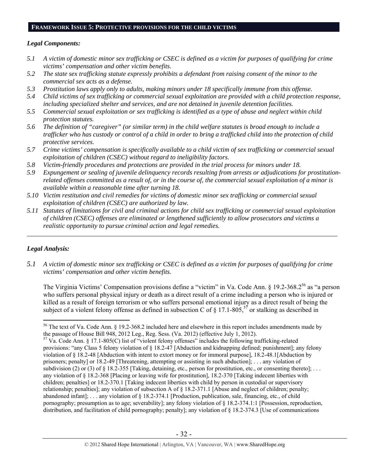#### **FRAMEWORK ISSUE 5: PROTECTIVE PROVISIONS FOR THE CHILD VICTIMS**

#### *Legal Components:*

- *5.1 A victim of domestic minor sex trafficking or CSEC is defined as a victim for purposes of qualifying for crime victims' compensation and other victim benefits.*
- *5.2 The state sex trafficking statute expressly prohibits a defendant from raising consent of the minor to the commercial sex acts as a defense.*
- *5.3 Prostitution laws apply only to adults, making minors under 18 specifically immune from this offense.*
- *5.4 Child victims of sex trafficking or commercial sexual exploitation are provided with a child protection response, including specialized shelter and services, and are not detained in juvenile detention facilities.*
- *5.5 Commercial sexual exploitation or sex trafficking is identified as a type of abuse and neglect within child protection statutes.*
- *5.6 The definition of "caregiver" (or similar term) in the child welfare statutes is broad enough to include a trafficker who has custody or control of a child in order to bring a trafficked child into the protection of child protective services.*
- *5.7 Crime victims' compensation is specifically available to a child victim of sex trafficking or commercial sexual exploitation of children (CSEC) without regard to ineligibility factors.*
- *5.8 Victim-friendly procedures and protections are provided in the trial process for minors under 18.*
- *5.9 Expungement or sealing of juvenile delinquency records resulting from arrests or adjudications for prostitutionrelated offenses committed as a result of, or in the course of, the commercial sexual exploitation of a minor is available within a reasonable time after turning 18.*
- *5.10 Victim restitution and civil remedies for victims of domestic minor sex trafficking or commercial sexual exploitation of children (CSEC) are authorized by law.*
- *5.11 Statutes of limitations for civil and criminal actions for child sex trafficking or commercial sexual exploitation of children (CSEC) offenses are eliminated or lengthened sufficiently to allow prosecutors and victims a realistic opportunity to pursue criminal action and legal remedies.*

*\_\_\_\_\_\_\_\_\_\_\_\_\_\_\_\_\_\_\_\_\_\_\_\_\_\_\_\_\_\_\_\_\_\_\_\_\_\_\_\_\_\_\_\_\_\_\_\_\_\_\_\_\_\_\_\_\_\_\_\_\_\_\_\_\_\_\_\_\_\_\_\_\_\_\_\_\_\_\_\_\_\_\_\_\_\_\_\_\_\_\_\_\_\_* 

# *Legal Analysis:*

 $\overline{a}$ 

*5.1 A victim of domestic minor sex trafficking or CSEC is defined as a victim for purposes of qualifying for crime victims' compensation and other victim benefits.* 

The Virginia Victims' Compensation provisions define a "victim" in Va. Code Ann. § 19.2-368.2<sup>56</sup> as "a person who suffers personal physical injury or death as a direct result of a crime including a person who is injured or killed as a result of foreign terrorism or who suffers personal emotional injury as a direct result of being the subject of a violent felony offense as defined in subsection C of  $\S$  17.1-805,<sup>57</sup> or stalking as described in

<sup>&</sup>lt;sup>56</sup> The text of Va. Code Ann. § 19.2-368.2 included here and elsewhere in this report includes amendments made by the passage of House Bill 948, 2012 Leg., Reg. Sess. (Va. 2012) (effective July 1, 2012).

 $57$  Va. Code Ann. § 17.1-805(C) list of "violent felony offenses" includes the following trafficking-related provisions: "any Class 5 felony violation of § 18.2-47 [Abduction and kidnapping defined; punishment]; any felony violation of § 18.2-48 [Abduction with intent to extort money or for immoral purpose], 18.2-48.1[Abduction by prisoners; penalty] or 18.2-49 [Threatening, attempting or assisting in such abduction]; . . . any violation of subdivision (2) or (3) of  $\S 18.2-355$  [Taking, detaining, etc., person for prostitution, etc., or consenting thereto]; ... any violation of § 18.2-368 [Placing or leaving wife for prostitution], 18.2-370 [Taking indecent liberties with children; penalties] or 18.2-370.1 [Taking indecent liberties with child by person in custodial or supervisory relationship; penalties]; any violation of subsection A of § 18.2-371.1 [Abuse and neglect of children; penalty; abandoned infant]; . . . any violation of § 18.2-374.1 [Production, publication, sale, financing, etc., of child pornography; presumption as to age; severability]; any felony violation of § 18.2-374.1:1 [Possession, reproduction, distribution, and facilitation of child pornography; penalty]; any violation of § 18.2-374.3 [Use of communications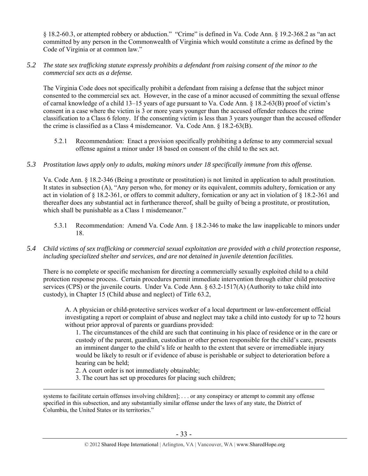§ 18.2-60.3, or attempted robbery or abduction." "Crime" is defined in Va. Code Ann. § 19.2-368.2 as "an act committed by any person in the Commonwealth of Virginia which would constitute a crime as defined by the Code of Virginia or at common law."

#### *5.2 The state sex trafficking statute expressly prohibits a defendant from raising consent of the minor to the commercial sex acts as a defense.*

The Virginia Code does not specifically prohibit a defendant from raising a defense that the subject minor consented to the commercial sex act. However, in the case of a minor accused of committing the sexual offense of carnal knowledge of a child 13–15 years of age pursuant to Va. Code Ann. § 18.2-63(B) proof of victim's consent in a case where the victim is 3 or more years younger than the accused offender reduces the crime classification to a Class 6 felony. If the consenting victim is less than 3 years younger than the accused offender the crime is classified as a Class 4 misdemeanor. Va. Code Ann. § 18.2-63(B).

5.2.1 Recommendation: Enact a provision specifically prohibiting a defense to any commercial sexual offense against a minor under 18 based on consent of the child to the sex act.

## *5.3 Prostitution laws apply only to adults, making minors under 18 specifically immune from this offense.*

Va. Code Ann. § 18.2-346 (Being a prostitute or prostitution) is not limited in application to adult prostitution. It states in subsection (A), "Any person who, for money or its equivalent, commits adultery, fornication or any act in violation of § 18.2-361, or offers to commit adultery, fornication or any act in violation of § 18.2-361 and thereafter does any substantial act in furtherance thereof, shall be guilty of being a prostitute, or prostitution, which shall be punishable as a Class 1 misdemeanor."

5.3.1 Recommendation: Amend Va. Code Ann. § 18.2-346 to make the law inapplicable to minors under 18.

## *5.4 Child victims of sex trafficking or commercial sexual exploitation are provided with a child protection response, including specialized shelter and services, and are not detained in juvenile detention facilities.*

There is no complete or specific mechanism for directing a commercially sexually exploited child to a child protection response process. Certain procedures permit immediate intervention through either child protective services (CPS) or the juvenile courts. Under Va. Code Ann.  $\S 63.2{\text -}1517(A)$  (Authority to take child into custody), in Chapter 15 (Child abuse and neglect) of Title 63.2,

A. A physician or child-protective services worker of a local department or law-enforcement official investigating a report or complaint of abuse and neglect may take a child into custody for up to 72 hours without prior approval of parents or guardians provided:

1. The circumstances of the child are such that continuing in his place of residence or in the care or custody of the parent, guardian, custodian or other person responsible for the child's care, presents an imminent danger to the child's life or health to the extent that severe or irremediable injury would be likely to result or if evidence of abuse is perishable or subject to deterioration before a hearing can be held;

2. A court order is not immediately obtainable;

3. The court has set up procedures for placing such children;

systems to facilitate certain offenses involving children]; ... or any conspiracy or attempt to commit any offense specified in this subsection, and any substantially similar offense under the laws of any state, the District of Columbia, the United States or its territories."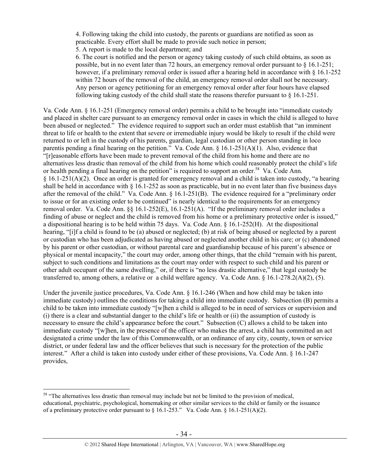4. Following taking the child into custody, the parents or guardians are notified as soon as practicable. Every effort shall be made to provide such notice in person;

5. A report is made to the local department; and

6. The court is notified and the person or agency taking custody of such child obtains, as soon as possible, but in no event later than 72 hours, an emergency removal order pursuant to § 16.1-251; however, if a preliminary removal order is issued after a hearing held in accordance with § 16.1-252 within 72 hours of the removal of the child, an emergency removal order shall not be necessary. Any person or agency petitioning for an emergency removal order after four hours have elapsed following taking custody of the child shall state the reasons therefor pursuant to  $\S$  16.1-251.

Va. Code Ann. § 16.1-251 (Emergency removal order) permits a child to be brought into "immediate custody and placed in shelter care pursuant to an emergency removal order in cases in which the child is alleged to have been abused or neglected." The evidence required to support such an order must establish that "an imminent threat to life or health to the extent that severe or irremediable injury would be likely to result if the child were returned to or left in the custody of his parents, guardian, legal custodian or other person standing in loco parentis pending a final hearing on the petition." Va. Code Ann. § 16.1-251(A)(1). Also, evidence that "[r]easonable efforts have been made to prevent removal of the child from his home and there are no alternatives less drastic than removal of the child from his home which could reasonably protect the child's life or health pending a final hearing on the petition" is required to support an order.<sup>58</sup> Va. Code Ann. § 16.1-251(A)(2). Once an order is granted for emergency removal and a child is taken into custody, "a hearing shall be held in accordance with  $\S$  16.1-252 as soon as practicable, but in no event later than five business days after the removal of the child." Va. Code Ann. § 16.1-251(B). The evidence required for a "preliminary order to issue or for an existing order to be continued" is nearly identical to the requirements for an emergency removal order. Va. Code Ann. §§ 16.1-252(E), 16.1-251(A). "If the preliminary removal order includes a finding of abuse or neglect and the child is removed from his home or a preliminary protective order is issued," a dispositional hearing is to be held within 75 days. Va. Code Ann. § 16.1-252(H). At the dispositional hearing, "[i]f a child is found to be (a) abused or neglected; (b) at risk of being abused or neglected by a parent or custodian who has been adjudicated as having abused or neglected another child in his care; or (c) abandoned by his parent or other custodian, or without parental care and guardianship because of his parent's absence or physical or mental incapacity," the court may order, among other things, that the child "remain with his parent, subject to such conditions and limitations as the court may order with respect to such child and his parent or other adult occupant of the same dwelling," or, if there is "no less drastic alternative," that legal custody be transferred to, among others, a relative or a child welfare agency. Va. Code Ann. § 16.1-278.2(A)(2), (5).

Under the juvenile justice procedures, Va. Code Ann. § 16.1-246 (When and how child may be taken into immediate custody) outlines the conditions for taking a child into immediate custody. Subsection (B) permits a child to be taken into immediate custody "[w]hen a child is alleged to be in need of services or supervision and (i) there is a clear and substantial danger to the child's life or health or (ii) the assumption of custody is necessary to ensure the child's appearance before the court." Subsection (C) allows a child to be taken into immediate custody "[w]hen, in the presence of the officer who makes the arrest, a child has committed an act designated a crime under the law of this Commonwealth, or an ordinance of any city, county, town or service district, or under federal law and the officer believes that such is necessary for the protection of the public interest." After a child is taken into custody under either of these provisions, Va. Code Ann. § 16.1-247 provides,

<sup>&</sup>lt;sup>58</sup> "The alternatives less drastic than removal may include but not be limited to the provision of medical, educational, psychiatric, psychological, homemaking or other similar services to the child or family or the issuance of a preliminary protective order pursuant to § 16.1-253." Va. Code Ann. § 16.1-251(A)(2).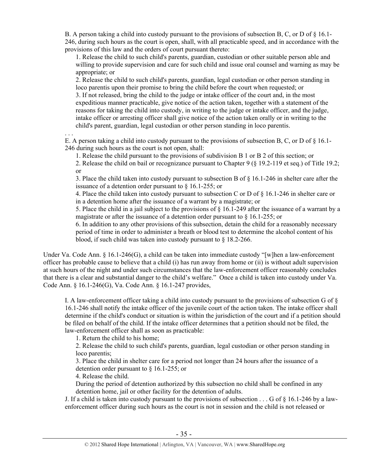B. A person taking a child into custody pursuant to the provisions of subsection B, C, or D of  $\S$  16.1-246, during such hours as the court is open, shall, with all practicable speed, and in accordance with the provisions of this law and the orders of court pursuant thereto:

1. Release the child to such child's parents, guardian, custodian or other suitable person able and willing to provide supervision and care for such child and issue oral counsel and warning as may be appropriate; or

2. Release the child to such child's parents, guardian, legal custodian or other person standing in loco parentis upon their promise to bring the child before the court when requested; or

3. If not released, bring the child to the judge or intake officer of the court and, in the most expeditious manner practicable, give notice of the action taken, together with a statement of the reasons for taking the child into custody, in writing to the judge or intake officer, and the judge, intake officer or arresting officer shall give notice of the action taken orally or in writing to the child's parent, guardian, legal custodian or other person standing in loco parentis.

. . .

E. A person taking a child into custody pursuant to the provisions of subsection B, C, or D of  $\S$  16.1-246 during such hours as the court is not open, shall:

1. Release the child pursuant to the provisions of subdivision B 1 or B 2 of this section; or

2. Release the child on bail or recognizance pursuant to Chapter 9 (§ 19.2-119 et seq.) of Title 19.2; or

3. Place the child taken into custody pursuant to subsection B of § 16.1-246 in shelter care after the issuance of a detention order pursuant to § 16.1-255; or

4. Place the child taken into custody pursuant to subsection C or D of § 16.1-246 in shelter care or in a detention home after the issuance of a warrant by a magistrate; or

5. Place the child in a jail subject to the provisions of § 16.1-249 after the issuance of a warrant by a magistrate or after the issuance of a detention order pursuant to § 16.1-255; or

6. In addition to any other provisions of this subsection, detain the child for a reasonably necessary period of time in order to administer a breath or blood test to determine the alcohol content of his blood, if such child was taken into custody pursuant to § 18.2-266.

Under Va. Code Ann. § 16.1-246(G), a child can be taken into immediate custody "[w]hen a law-enforcement officer has probable cause to believe that a child (i) has run away from home or (ii) is without adult supervision at such hours of the night and under such circumstances that the law-enforcement officer reasonably concludes that there is a clear and substantial danger to the child's welfare." Once a child is taken into custody under Va. Code Ann. § 16.1-246(G), Va. Code Ann. § 16.1-247 provides,

I. A law-enforcement officer taking a child into custody pursuant to the provisions of subsection G of § 16.1-246 shall notify the intake officer of the juvenile court of the action taken. The intake officer shall determine if the child's conduct or situation is within the jurisdiction of the court and if a petition should be filed on behalf of the child. If the intake officer determines that a petition should not be filed, the law-enforcement officer shall as soon as practicable:

1. Return the child to his home;

2. Release the child to such child's parents, guardian, legal custodian or other person standing in loco parentis;

3. Place the child in shelter care for a period not longer than 24 hours after the issuance of a detention order pursuant to § 16.1-255; or

4. Release the child.

During the period of detention authorized by this subsection no child shall be confined in any detention home, jail or other facility for the detention of adults.

J. If a child is taken into custody pursuant to the provisions of subsection . . . G of § 16.1-246 by a lawenforcement officer during such hours as the court is not in session and the child is not released or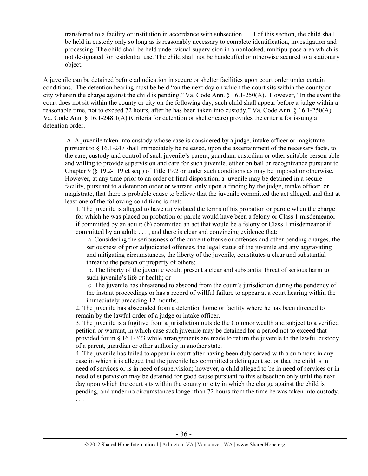transferred to a facility or institution in accordance with subsection . . . I of this section, the child shall be held in custody only so long as is reasonably necessary to complete identification, investigation and processing. The child shall be held under visual supervision in a nonlocked, multipurpose area which is not designated for residential use. The child shall not be handcuffed or otherwise secured to a stationary object.

A juvenile can be detained before adjudication in secure or shelter facilities upon court order under certain conditions. The detention hearing must be held "on the next day on which the court sits within the county or city wherein the charge against the child is pending." Va. Code Ann. § 16.1-250(A). However, "In the event the court does not sit within the county or city on the following day, such child shall appear before a judge within a reasonable time, not to exceed 72 hours, after he has been taken into custody." Va. Code Ann. § 16.1-250(A). Va. Code Ann. § 16.1-248.1(A) (Criteria for detention or shelter care) provides the criteria for issuing a detention order.

 A. A juvenile taken into custody whose case is considered by a judge, intake officer or magistrate pursuant to § 16.1-247 shall immediately be released, upon the ascertainment of the necessary facts, to the care, custody and control of such juvenile's parent, guardian, custodian or other suitable person able and willing to provide supervision and care for such juvenile, either on bail or recognizance pursuant to Chapter 9 (§ 19.2-119 et seq.) of Title 19.2 or under such conditions as may be imposed or otherwise. However, at any time prior to an order of final disposition, a juvenile may be detained in a secure facility, pursuant to a detention order or warrant, only upon a finding by the judge, intake officer, or magistrate, that there is probable cause to believe that the juvenile committed the act alleged, and that at least one of the following conditions is met:

1. The juvenile is alleged to have (a) violated the terms of his probation or parole when the charge for which he was placed on probation or parole would have been a felony or Class 1 misdemeanor if committed by an adult; (b) committed an act that would be a felony or Class 1 misdemeanor if committed by an adult; . . . , and there is clear and convincing evidence that:

 a. Considering the seriousness of the current offense or offenses and other pending charges, the seriousness of prior adjudicated offenses, the legal status of the juvenile and any aggravating and mitigating circumstances, the liberty of the juvenile, constitutes a clear and substantial threat to the person or property of others;

 b. The liberty of the juvenile would present a clear and substantial threat of serious harm to such juvenile's life or health; or

 c. The juvenile has threatened to abscond from the court's jurisdiction during the pendency of the instant proceedings or has a record of willful failure to appear at a court hearing within the immediately preceding 12 months.

2. The juvenile has absconded from a detention home or facility where he has been directed to remain by the lawful order of a judge or intake officer.

3. The juvenile is a fugitive from a jurisdiction outside the Commonwealth and subject to a verified petition or warrant, in which case such juvenile may be detained for a period not to exceed that provided for in § 16.1-323 while arrangements are made to return the juvenile to the lawful custody of a parent, guardian or other authority in another state.

4. The juvenile has failed to appear in court after having been duly served with a summons in any case in which it is alleged that the juvenile has committed a delinquent act or that the child is in need of services or is in need of supervision; however, a child alleged to be in need of services or in need of supervision may be detained for good cause pursuant to this subsection only until the next day upon which the court sits within the county or city in which the charge against the child is pending, and under no circumstances longer than 72 hours from the time he was taken into custody. . . .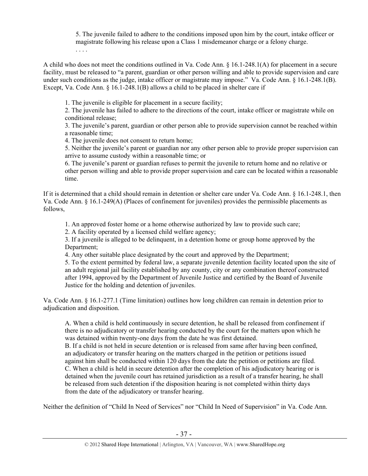5. The juvenile failed to adhere to the conditions imposed upon him by the court, intake officer or magistrate following his release upon a Class 1 misdemeanor charge or a felony charge. . . . .

A child who does not meet the conditions outlined in Va. Code Ann. § 16.1-248.1(A) for placement in a secure facility, must be released to "a parent, guardian or other person willing and able to provide supervision and care under such conditions as the judge, intake officer or magistrate may impose." Va. Code Ann. § 16.1-248.1(B). Except, Va. Code Ann. § 16.1-248.1(B) allows a child to be placed in shelter care if

1. The juvenile is eligible for placement in a secure facility;

2. The juvenile has failed to adhere to the directions of the court, intake officer or magistrate while on conditional release;

3. The juvenile's parent, guardian or other person able to provide supervision cannot be reached within a reasonable time;

4. The juvenile does not consent to return home;

5. Neither the juvenile's parent or guardian nor any other person able to provide proper supervision can arrive to assume custody within a reasonable time; or

6. The juvenile's parent or guardian refuses to permit the juvenile to return home and no relative or other person willing and able to provide proper supervision and care can be located within a reasonable time.

If it is determined that a child should remain in detention or shelter care under Va. Code Ann. § 16.1-248.1, then Va. Code Ann. § 16.1-249(A) (Places of confinement for juveniles) provides the permissible placements as follows,

1. An approved foster home or a home otherwise authorized by law to provide such care;

2. A facility operated by a licensed child welfare agency;

3. If a juvenile is alleged to be delinquent, in a detention home or group home approved by the Department;

4. Any other suitable place designated by the court and approved by the Department;

5. To the extent permitted by federal law, a separate juvenile detention facility located upon the site of an adult regional jail facility established by any county, city or any combination thereof constructed after 1994, approved by the Department of Juvenile Justice and certified by the Board of Juvenile Justice for the holding and detention of juveniles.

Va. Code Ann. § 16.1-277.1 (Time limitation) outlines how long children can remain in detention prior to adjudication and disposition.

A. When a child is held continuously in secure detention, he shall be released from confinement if there is no adjudicatory or transfer hearing conducted by the court for the matters upon which he was detained within twenty-one days from the date he was first detained.

B. If a child is not held in secure detention or is released from same after having been confined, an adjudicatory or transfer hearing on the matters charged in the petition or petitions issued against him shall be conducted within 120 days from the date the petition or petitions are filed. C. When a child is held in secure detention after the completion of his adjudicatory hearing or is detained when the juvenile court has retained jurisdiction as a result of a transfer hearing, he shall be released from such detention if the disposition hearing is not completed within thirty days from the date of the adjudicatory or transfer hearing.

Neither the definition of "Child In Need of Services" nor "Child In Need of Supervision" in Va. Code Ann.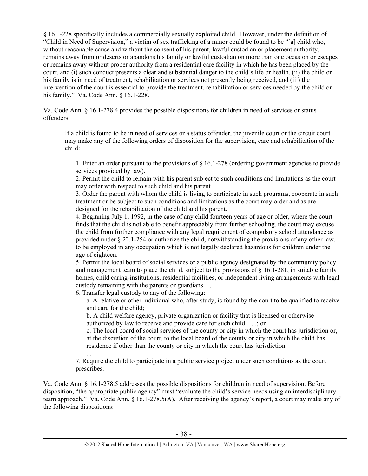§ 16.1-228 specifically includes a commercially sexually exploited child. However, under the definition of "Child in Need of Supervision," a victim of sex trafficking of a minor could be found to be "[a] child who, without reasonable cause and without the consent of his parent, lawful custodian or placement authority, remains away from or deserts or abandons his family or lawful custodian on more than one occasion or escapes or remains away without proper authority from a residential care facility in which he has been placed by the court, and (i) such conduct presents a clear and substantial danger to the child's life or health, (ii) the child or his family is in need of treatment, rehabilitation or services not presently being received, and (iii) the intervention of the court is essential to provide the treatment, rehabilitation or services needed by the child or his family." Va. Code Ann. § 16.1-228.

Va. Code Ann. § 16.1-278.4 provides the possible dispositions for children in need of services or status offenders:

If a child is found to be in need of services or a status offender, the juvenile court or the circuit court may make any of the following orders of disposition for the supervision, care and rehabilitation of the child:

1. Enter an order pursuant to the provisions of § 16.1-278 (ordering government agencies to provide services provided by law).

2. Permit the child to remain with his parent subject to such conditions and limitations as the court may order with respect to such child and his parent.

3. Order the parent with whom the child is living to participate in such programs, cooperate in such treatment or be subject to such conditions and limitations as the court may order and as are designed for the rehabilitation of the child and his parent.

4. Beginning July 1, 1992, in the case of any child fourteen years of age or older, where the court finds that the child is not able to benefit appreciably from further schooling, the court may excuse the child from further compliance with any legal requirement of compulsory school attendance as provided under § 22.1-254 or authorize the child, notwithstanding the provisions of any other law, to be employed in any occupation which is not legally declared hazardous for children under the age of eighteen.

5. Permit the local board of social services or a public agency designated by the community policy and management team to place the child, subject to the provisions of  $\S$  16.1-281, in suitable family homes, child caring-institutions, residential facilities, or independent living arrangements with legal custody remaining with the parents or guardians. . . .

6. Transfer legal custody to any of the following:

a. A relative or other individual who, after study, is found by the court to be qualified to receive and care for the child;

b. A child welfare agency, private organization or facility that is licensed or otherwise authorized by law to receive and provide care for such child. . . .; or

c. The local board of social services of the county or city in which the court has jurisdiction or, at the discretion of the court, to the local board of the county or city in which the child has residence if other than the county or city in which the court has jurisdiction.

. . . 7. Require the child to participate in a public service project under such conditions as the court prescribes.

Va. Code Ann. § 16.1-278.5 addresses the possible dispositions for children in need of supervision. Before disposition, "the appropriate public agency" must "evaluate the child's service needs using an interdisciplinary team approach." Va. Code Ann. § 16.1-278.5(A). After receiving the agency's report, a court may make any of the following dispositions: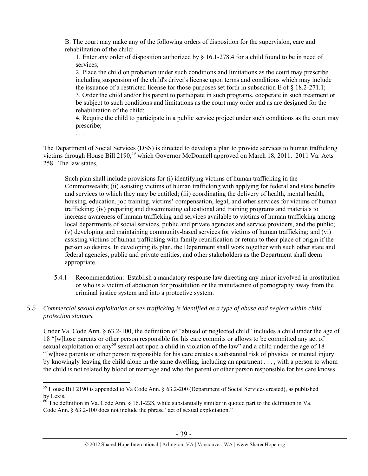B. The court may make any of the following orders of disposition for the supervision, care and rehabilitation of the child:

1. Enter any order of disposition authorized by § 16.1-278.4 for a child found to be in need of services;

2. Place the child on probation under such conditions and limitations as the court may prescribe including suspension of the child's driver's license upon terms and conditions which may include the issuance of a restricted license for those purposes set forth in subsection E of § 18.2-271.1; 3. Order the child and/or his parent to participate in such programs, cooperate in such treatment or be subject to such conditions and limitations as the court may order and as are designed for the rehabilitation of the child;

4. Require the child to participate in a public service project under such conditions as the court may prescribe;

. . .

 $\overline{a}$ 

The Department of Social Services (DSS) is directed to develop a plan to provide services to human trafficking victims through House Bill 2190,<sup>59</sup> which Governor McDonnell approved on March 18, 2011. 2011 Va. Acts 258. The law states,

Such plan shall include provisions for (i) identifying victims of human trafficking in the Commonwealth; (ii) assisting victims of human trafficking with applying for federal and state benefits and services to which they may be entitled; (iii) coordinating the delivery of health, mental health, housing, education, job training, victims' compensation, legal, and other services for victims of human trafficking; (iv) preparing and disseminating educational and training programs and materials to increase awareness of human trafficking and services available to victims of human trafficking among local departments of social services, public and private agencies and service providers, and the public; (v) developing and maintaining community-based services for victims of human trafficking; and (vi) assisting victims of human trafficking with family reunification or return to their place of origin if the person so desires. In developing its plan, the Department shall work together with such other state and federal agencies, public and private entities, and other stakeholders as the Department shall deem appropriate.

- 5.4.1 Recommendation: Establish a mandatory response law directing any minor involved in prostitution or who is a victim of abduction for prostitution or the manufacture of pornography away from the criminal justice system and into a protective system.
- *5.5 Commercial sexual exploitation or sex trafficking is identified as a type of abuse and neglect within child protection statutes.*

Under Va. Code Ann. § 63.2-100, the definition of "abused or neglected child" includes a child under the age of 18 "[w]hose parents or other person responsible for his care commits or allows to be committed any act of sexual exploitation or any<sup>60</sup> sexual act upon a child in violation of the law" and a child under the age of 18 "[w]hose parents or other person responsible for his care creates a substantial risk of physical or mental injury by knowingly leaving the child alone in the same dwelling, including an apartment . . . , with a person to whom the child is not related by blood or marriage and who the parent or other person responsible for his care knows

 $59$  House Bill 2190 is appended to Va Code Ann. § 63.2-200 (Department of Social Services created), as published by Lexis.

 $^{60}$  The definition in Va. Code Ann. § 16.1-228, while substantially similar in quoted part to the definition in Va. Code Ann. § 63.2-100 does not include the phrase "act of sexual exploitation."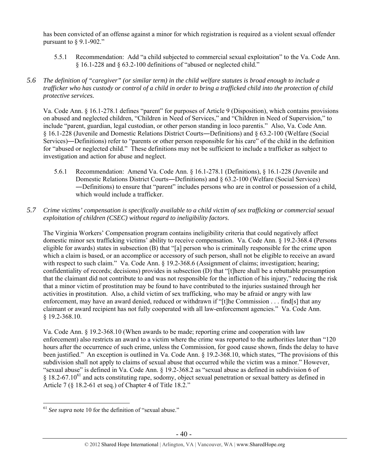has been convicted of an offense against a minor for which registration is required as a violent sexual offender pursuant to  $\S$  9.1-902."

- 5.5.1 Recommendation: Add "a child subjected to commercial sexual exploitation" to the Va. Code Ann. § 16.1-228 and § 63.2-100 definitions of "abused or neglected child."
- *5.6 The definition of "caregiver" (or similar term) in the child welfare statutes is broad enough to include a trafficker who has custody or control of a child in order to bring a trafficked child into the protection of child protective services.*

Va. Code Ann. § 16.1-278.1 defines "parent" for purposes of Article 9 (Disposition), which contains provisions on abused and neglected children, "Children in Need of Services," and "Children in Need of Supervision," to include "parent, guardian, legal custodian, or other person standing in loco parentis." Also, Va. Code Ann. § 16.1-228 (Juvenile and Domestic Relations District Courts―Definitions) and § 63.2-100 (Welfare (Social Services)―Definitions) refer to "parents or other person responsible for his care" of the child in the definition for "abused or neglected child." These definitions may not be sufficient to include a trafficker as subject to investigation and action for abuse and neglect.

- 5.6.1 Recommendation: Amend Va. Code Ann. § 16.1-278.1 (Definitions), § 16.1-228 (Juvenile and Domestic Relations District Courts―Definitions) and § 63.2-100 (Welfare (Social Services) ―Definitions) to ensure that "parent" includes persons who are in control or possession of a child, which would include a trafficker.
- *5.7 Crime victims' compensation is specifically available to a child victim of sex trafficking or commercial sexual exploitation of children (CSEC) without regard to ineligibility factors.*

The Virginia Workers' Compensation program contains ineligibility criteria that could negatively affect domestic minor sex trafficking victims' ability to receive compensation. Va. Code Ann. § 19.2-368.4 (Persons eligible for awards) states in subsection (B) that "[a] person who is criminally responsible for the crime upon which a claim is based, or an accomplice or accessory of such person, shall not be eligible to receive an award with respect to such claim." Va. Code Ann. § 19.2-368.6 (Assignment of claims; investigation; hearing; confidentiality of records; decisions) provides in subsection (D) that "[t]here shall be a rebuttable presumption that the claimant did not contribute to and was not responsible for the infliction of his injury," reducing the risk that a minor victim of prostitution may be found to have contributed to the injuries sustained through her activities in prostitution. Also, a child victim of sex trafficking, who may be afraid or angry with law enforcement, may have an award denied, reduced or withdrawn if "[t]he Commission . . . find[s] that any claimant or award recipient has not fully cooperated with all law-enforcement agencies." Va. Code Ann. § 19.2-368.10.

Va. Code Ann. § 19.2-368.10 (When awards to be made; reporting crime and cooperation with law enforcement) also restricts an award to a victim where the crime was reported to the authorities later than "120 hours after the occurrence of such crime, unless the Commission, for good cause shown, finds the delay to have been justified." An exception is outlined in Va. Code Ann. § 19.2-368.10, which states, "The provisions of this subdivision shall not apply to claims of sexual abuse that occurred while the victim was a minor." However, "sexual abuse" is defined in Va. Code Ann. § 19.2-368.2 as "sexual abuse as defined in subdivision 6 of  $§$  18.2-67.10<sup>61</sup> and acts constituting rape, sodomy, object sexual penetration or sexual battery as defined in Article 7 (§ 18.2-61 et seq.) of Chapter 4 of Title 18.2."

 $\overline{a}$ <sup>61</sup> *See supra* note 10 for the definition of "sexual abuse."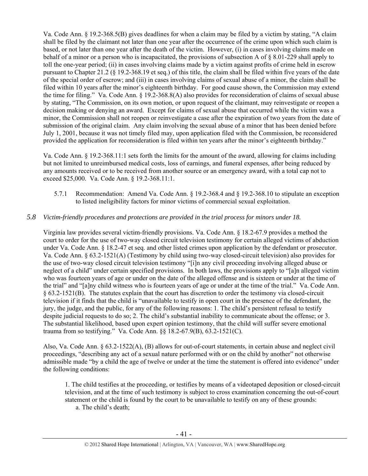Va. Code Ann. § 19.2-368.5(B) gives deadlines for when a claim may be filed by a victim by stating, "A claim shall be filed by the claimant not later than one year after the occurrence of the crime upon which such claim is based, or not later than one year after the death of the victim. However, (i) in cases involving claims made on behalf of a minor or a person who is incapacitated, the provisions of subsection A of § 8.01-229 shall apply to toll the one-year period; (ii) in cases involving claims made by a victim against profits of crime held in escrow pursuant to Chapter 21.2 (§ 19.2-368.19 et seq.) of this title, the claim shall be filed within five years of the date of the special order of escrow; and (iii) in cases involving claims of sexual abuse of a minor, the claim shall be filed within 10 years after the minor's eighteenth birthday. For good cause shown, the Commission may extend the time for filing." Va. Code Ann. § 19.2-368.8(A) also provides for reconsideration of claims of sexual abuse by stating, "The Commission, on its own motion, or upon request of the claimant, may reinvestigate or reopen a decision making or denying an award. Except for claims of sexual abuse that occurred while the victim was a minor, the Commission shall not reopen or reinvestigate a case after the expiration of two years from the date of submission of the original claim. Any claim involving the sexual abuse of a minor that has been denied before July 1, 2001, because it was not timely filed may, upon application filed with the Commission, be reconsidered provided the application for reconsideration is filed within ten years after the minor's eighteenth birthday."

Va. Code Ann. § 19.2-368.11:1 sets forth the limits for the amount of the award, allowing for claims including but not limited to unreimbursed medical costs, loss of earnings, and funeral expenses, after being reduced by any amounts received or to be received from another source or an emergency award, with a total cap not to exceed \$25,000. Va. Code Ann. § 19.2-368.11:1.

5.7.1 Recommendation: Amend Va. Code Ann. § 19.2-368.4 and § 19.2-368.10 to stipulate an exception to listed ineligibility factors for minor victims of commercial sexual exploitation.

# *5.8 Victim-friendly procedures and protections are provided in the trial process for minors under 18.*

Virginia law provides several victim-friendly provisions. Va. Code Ann. § 18.2-67.9 provides a method the court to order for the use of two-way closed circuit television testimony for certain alleged victims of abduction under Va. Code Ann. § 18.2-47 et seq. and other listed crimes upon application by the defendant or prosecutor. Va. Code Ann. § 63.2-1521(A) (Testimony by child using two-way closed-circuit television) also provides for the use of two-way closed circuit television testimony "[i]n any civil proceeding involving alleged abuse or neglect of a child" under certain specified provisions. In both laws, the provisions apply to "[a]n alleged victim who was fourteen years of age or under on the date of the alleged offense and is sixteen or under at the time of the trial" and "[a]ny child witness who is fourteen years of age or under at the time of the trial." Va. Code Ann. § 63.2-1521(B). The statutes explain that the court has discretion to order the testimony via closed-circuit television if it finds that the child is "unavailable to testify in open court in the presence of the defendant, the jury, the judge, and the public, for any of the following reasons: 1. The child's persistent refusal to testify despite judicial requests to do so; 2. The child's substantial inability to communicate about the offense; or 3. The substantial likelihood, based upon expert opinion testimony, that the child will suffer severe emotional trauma from so testifying." Va. Code Ann. §§ 18.2-67.9(B), 63.2-1521(C).

Also, Va. Code Ann. § 63.2-1522(A), (B) allows for out-of-court statements, in certain abuse and neglect civil proceedings, "describing any act of a sexual nature performed with or on the child by another" not otherwise admissible made "by a child the age of twelve or under at the time the statement is offered into evidence" under the following conditions:

1. The child testifies at the proceeding, or testifies by means of a videotaped deposition or closed-circuit television, and at the time of such testimony is subject to cross examination concerning the out-of-court statement or the child is found by the court to be unavailable to testify on any of these grounds: a. The child's death;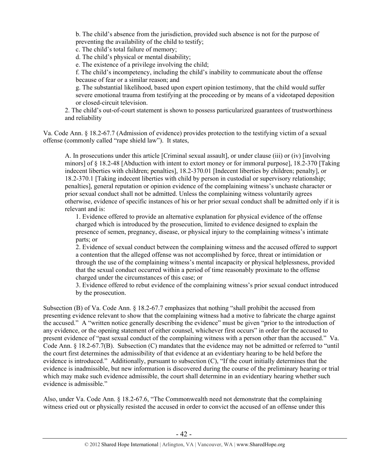b. The child's absence from the jurisdiction, provided such absence is not for the purpose of preventing the availability of the child to testify;

c. The child's total failure of memory;

d. The child's physical or mental disability;

e. The existence of a privilege involving the child;

f. The child's incompetency, including the child's inability to communicate about the offense because of fear or a similar reason; and

g. The substantial likelihood, based upon expert opinion testimony, that the child would suffer severe emotional trauma from testifying at the proceeding or by means of a videotaped deposition or closed-circuit television.

2. The child's out-of-court statement is shown to possess particularized guarantees of trustworthiness and reliability

Va. Code Ann. § 18.2-67.7 (Admission of evidence) provides protection to the testifying victim of a sexual offense (commonly called "rape shield law"). It states,

A. In prosecutions under this article [Criminal sexual assault], or under clause (iii) or (iv) [involving minors] of § 18.2-48 [Abduction with intent to extort money or for immoral purpose], 18.2-370 [Taking indecent liberties with children; penalties], 18.2-370.01 [Indecent liberties by children; penalty], or 18.2-370.1 [Taking indecent liberties with child by person in custodial or supervisory relationship; penalties], general reputation or opinion evidence of the complaining witness's unchaste character or prior sexual conduct shall not be admitted. Unless the complaining witness voluntarily agrees otherwise, evidence of specific instances of his or her prior sexual conduct shall be admitted only if it is relevant and is:

1. Evidence offered to provide an alternative explanation for physical evidence of the offense charged which is introduced by the prosecution, limited to evidence designed to explain the presence of semen, pregnancy, disease, or physical injury to the complaining witness's intimate parts; or

2. Evidence of sexual conduct between the complaining witness and the accused offered to support a contention that the alleged offense was not accomplished by force, threat or intimidation or through the use of the complaining witness's mental incapacity or physical helplessness, provided that the sexual conduct occurred within a period of time reasonably proximate to the offense charged under the circumstances of this case; or

 3. Evidence offered to rebut evidence of the complaining witness's prior sexual conduct introduced by the prosecution.

Subsection (B) of Va. Code Ann. § 18.2-67.7 emphasizes that nothing "shall prohibit the accused from presenting evidence relevant to show that the complaining witness had a motive to fabricate the charge against the accused." A "written notice generally describing the evidence" must be given "prior to the introduction of any evidence, or the opening statement of either counsel, whichever first occurs" in order for the accused to present evidence of "past sexual conduct of the complaining witness with a person other than the accused." Va. Code Ann. § 18.2-67.7(B). Subsection (C) mandates that the evidence may not be admitted or referred to "until the court first determines the admissibility of that evidence at an evidentiary hearing to be held before the evidence is introduced." Additionally, pursuant to subsection (C), "If the court initially determines that the evidence is inadmissible, but new information is discovered during the course of the preliminary hearing or trial which may make such evidence admissible, the court shall determine in an evidentiary hearing whether such evidence is admissible."

Also, under Va. Code Ann. § 18.2-67.6, "The Commonwealth need not demonstrate that the complaining witness cried out or physically resisted the accused in order to convict the accused of an offense under this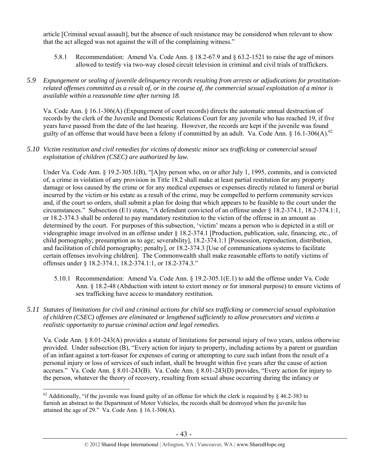article [Criminal sexual assault], but the absence of such resistance may be considered when relevant to show that the act alleged was not against the will of the complaining witness."

- 5.8.1 Recommendation: Amend Va. Code Ann. § 18.2-67.9 and § 63.2-1521 to raise the age of minors allowed to testify via two-way closed circuit television in criminal and civil trials of traffickers.
- *5.9 Expungement or sealing of juvenile delinquency records resulting from arrests or adjudications for prostitutionrelated offenses committed as a result of, or in the course of, the commercial sexual exploitation of a minor is available within a reasonable time after turning 18.*

Va. Code Ann. § 16.1-306(A) (Expungement of court records) directs the automatic annual destruction of records by the clerk of the Juvenile and Domestic Relations Court for any juvenile who has reached 19, if five years have passed from the date of the last hearing. However, the records are kept if the juvenile was found guilty of an offense that would have been a felony if committed by an adult. Va. Code Ann. § 16.1-306(A).<sup>62</sup>

#### *5.10 Victim restitution and civil remedies for victims of domestic minor sex trafficking or commercial sexual exploitation of children (CSEC) are authorized by law.*

Under Va. Code Ann. § 19.2-305.1(B), "[A]ny person who, on or after July 1, 1995, commits, and is convicted of, a crime in violation of any provision in Title 18.2 shall make at least partial restitution for any property damage or loss caused by the crime or for any medical expenses or expenses directly related to funeral or burial incurred by the victim or his estate as a result of the crime, may be compelled to perform community services and, if the court so orders, shall submit a plan for doing that which appears to be feasible to the court under the circumstances." Subsection (E1) states, "A defendant convicted of an offense under § 18.2-374.1, 18.2-374.1:1, or 18.2-374.3 shall be ordered to pay mandatory restitution to the victim of the offense in an amount as determined by the court. For purposes of this subsection, 'victim' means a person who is depicted in a still or videographic image involved in an offense under § 18.2-374.1 [Production, publication, sale, financing, etc., of child pornography; presumption as to age; severability], 18.2-374.1:1 [Possession, reproduction, distribution, and facilitation of child pornography; penalty], or 18.2-374.3 [Use of communications systems to facilitate certain offenses involving children]. The Commonwealth shall make reasonable efforts to notify victims of offenses under § 18.2-374.1, 18.2-374.1:1, or 18.2-374.3."

- 5.10.1 Recommendation: Amend Va. Code Ann. § 19.2-305.1(E.1) to add the offense under Va. Code Ann. § 18.2-48 (Abduction with intent to extort money or for immoral purpose) to ensure victims of sex trafficking have access to mandatory restitution.
- *5.11 Statutes of limitations for civil and criminal actions for child sex trafficking or commercial sexual exploitation of children (CSEC) offenses are eliminated or lengthened sufficiently to allow prosecutors and victims a realistic opportunity to pursue criminal action and legal remedies.*

Va. Code Ann. § 8.01-243(A) provides a statute of limitations for personal injury of two years, unless otherwise provided. Under subsection (B), "Every action for injury to property, including actions by a parent or guardian of an infant against a tort-feasor for expenses of curing or attempting to cure such infant from the result of a personal injury or loss of services of such infant, shall be brought within five years after the cause of action accrues." Va. Code Ann. § 8.01-243(B). Va. Code Ann. § 8.01-243(D) provides, "Every action for injury to the person, whatever the theory of recovery, resulting from sexual abuse occurring during the infancy or

 $\overline{a}$ <sup>62</sup> Additionally, "if the juvenile was found guilty of an offense for which the clerk is required by  $\S$  46.2-383 to furnish an abstract to the Department of Motor Vehicles, the records shall be destroyed when the juvenile has attained the age of 29." Va. Code Ann. § 16.1-306(A).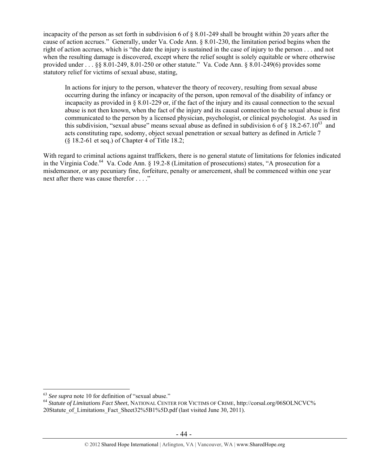incapacity of the person as set forth in subdivision 6 of § 8.01-249 shall be brought within 20 years after the cause of action accrues." Generally, under Va. Code Ann. § 8.01-230, the limitation period begins when the right of action accrues, which is "the date the injury is sustained in the case of injury to the person . . . and not when the resulting damage is discovered, except where the relief sought is solely equitable or where otherwise provided under . . . §§ 8.01-249, 8.01-250 or other statute." Va. Code Ann. § 8.01-249(6) provides some statutory relief for victims of sexual abuse, stating,

In actions for injury to the person, whatever the theory of recovery, resulting from sexual abuse occurring during the infancy or incapacity of the person, upon removal of the disability of infancy or incapacity as provided in § 8.01-229 or, if the fact of the injury and its causal connection to the sexual abuse is not then known, when the fact of the injury and its causal connection to the sexual abuse is first communicated to the person by a licensed physician, psychologist, or clinical psychologist. As used in this subdivision, "sexual abuse" means sexual abuse as defined in subdivision 6 of  $\S$  18.2-67.10<sup>63</sup> and acts constituting rape, sodomy, object sexual penetration or sexual battery as defined in Article 7 (§ 18.2-61 et seq.) of Chapter 4 of Title 18.2;

With regard to criminal actions against traffickers, there is no general statute of limitations for felonies indicated in the Virginia Code.<sup>64</sup> Va. Code Ann. § 19.2-8 (Limitation of prosecutions) states, "A prosecution for a misdemeanor, or any pecuniary fine, forfeiture, penalty or amercement, shall be commenced within one year next after there was cause therefor . . . ."

 $63$  See supra note 10 for definition of "sexual abuse."

<sup>&</sup>lt;sup>64</sup> Statute of Limitations Fact Sheet, NATIONAL CENTER FOR VICTIMS OF CRIME, http://corsal.org/06SOLNCVC% 20Statute\_of\_Limitations\_Fact\_Sheet32%5B1%5D.pdf (last visited June 30, 2011).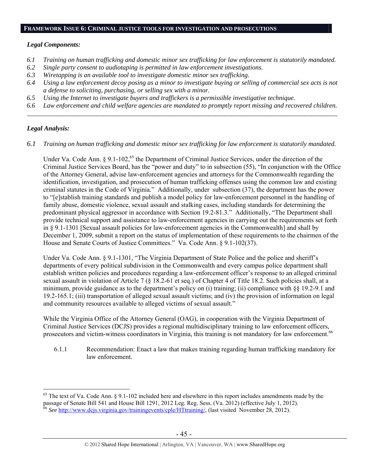#### **FRAMEWORK ISSUE 6: CRIMINAL JUSTICE TOOLS FOR INVESTIGATION AND PROSECUTIONS**

#### *Legal Components:*

- *6.1 Training on human trafficking and domestic minor sex trafficking for law enforcement is statutorily mandated.*
- *6.2 Single party consent to audiotaping is permitted in law enforcement investigations.*
- *6.3 Wiretapping is an available tool to investigate domestic minor sex trafficking.*
- *6.4 Using a law enforcement decoy posing as a minor to investigate buying or selling of commercial sex acts is not a defense to soliciting, purchasing, or selling sex with a minor.*
- *6.5 Using the Internet to investigate buyers and traffickers is a permissible investigative technique.*
- *6.6 Law enforcement and child welfare agencies are mandated to promptly report missing and recovered children. \_\_\_\_\_\_\_\_\_\_\_\_\_\_\_\_\_\_\_\_\_\_\_\_\_\_\_\_\_\_\_\_\_\_\_\_\_\_\_\_\_\_\_\_\_\_\_\_\_\_\_\_\_\_\_\_\_\_\_\_\_\_\_\_\_\_\_\_\_\_\_\_\_\_\_\_\_\_\_\_\_\_\_\_\_\_\_\_\_\_\_\_\_\_*

## *Legal Analysis:*

 $\overline{a}$ 

*6.1 Training on human trafficking and domestic minor sex trafficking for law enforcement is statutorily mandated.* 

Under Va. Code Ann.  $\S 9.1$ -102,<sup>65</sup> the Department of Criminal Justice Services, under the direction of the Criminal Justice Services Board, has the "power and duty" to in subsection (55), "In conjunction with the Office of the Attorney General, advise law-enforcement agencies and attorneys for the Commonwealth regarding the identification, investigation, and prosecution of human trafficking offenses using the common law and existing criminal statutes in the Code of Virginia." Additionally, under subsection (37), the department has the power to "[e]stablish training standards and publish a model policy for law-enforcement personnel in the handling of family abuse, domestic violence, sexual assault and stalking cases, including standards for determining the predominant physical aggressor in accordance with Section 19.2-81.3." Additionally, "The Department shall provide technical support and assistance to law-enforcement agencies in carrying out the requirements set forth in § 9.1-1301 [Sexual assault policies for law-enforcement agencies in the Commonwealth] and shall by December 1, 2009, submit a report on the status of implementation of these requirements to the chairmen of the House and Senate Courts of Justice Committees." Va. Code Ann. § 9.1-102(37).

Under Va. Code Ann. § 9.1-1301, "The Virginia Department of State Police and the police and sheriff's departments of every political subdivision in the Commonwealth and every campus police department shall establish written policies and procedures regarding a law-enforcement officer's response to an alleged criminal sexual assault in violation of Article 7 (§ 18.2-61 et seq.) of Chapter 4 of Title 18.2. Such policies shall, at a minimum, provide guidance as to the department's policy on (i) training; (ii) compliance with §§ 19.2-9.1 and 19.2-165.1; (iii) transportation of alleged sexual assault victims; and (iv) the provision of information on legal and community resources available to alleged victims of sexual assault."

While the Virginia Office of the Attorney General (OAG), in cooperation with the Virginia Department of While the Virginia Office of the Attorney Sensing (OTS), in Every Figure 2.1 (2014), the Services Criminal Justice Services (DCJS) provides a regional multidisciplinary training to law enforcement officers, prosecutors and victim-witness coordinators in Virginia, this training is not mandatory for law enforcement.<sup>6</sup>

6.1.1 Recommendation: Enact a law that makes training regarding human trafficking mandatory for law enforcement.

 $65$  The text of Va. Code Ann. § 9.1-102 included here and elsewhere in this report includes amendments made by the passage of Senate Bill 541 and House Bill 1291, 2012 Leg. Reg. Sess. (Va. 2012) (effective July 1, 2012). 66 *See* http://www.dcjs.virginia.gov/trainingevents/cple/HTtraining/, (last visited November 28, 2012).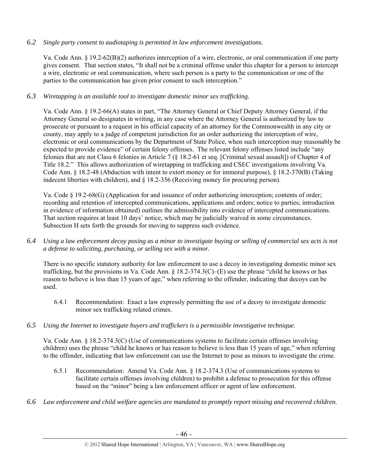# *6.2 Single party consent to audiotaping is permitted in law enforcement investigations.*

Va. Code Ann. § 19.2-62(B)(2) authorizes interception of a wire, electronic, or oral communication if one party gives consent. That section states, "It shall not be a criminal offense under this chapter for a person to intercept a wire, electronic or oral communication, where such person is a party to the communication or one of the parties to the communication has given prior consent to such interception."

# *6.3 Wiretapping is an available tool to investigate domestic minor sex trafficking.*

Va. Code Ann. § 19.2-66(A) states in part, "The Attorney General or Chief Deputy Attorney General, if the Attorney General so designates in writing, in any case where the Attorney General is authorized by law to prosecute or pursuant to a request in his official capacity of an attorney for the Commonwealth in any city or county, may apply to a judge of competent jurisdiction for an order authorizing the interception of wire, electronic or oral communications by the Department of State Police, when such interception may reasonably be expected to provide evidence" of certain felony offenses. The relevant felony offenses listed include "any felonies that are not Class 6 felonies in Article 7 (§ 18.2-61 et seq. [Criminal sexual assault]) of Chapter 4 of Title 18.2." This allows authorization of wiretapping in trafficking and CSEC investigations involving Va. Code Ann. § 18.2-48 (Abduction with intent to extort money or for immoral purpose), § 18.2-370(B) (Taking indecent liberties with children), and § 18.2-356 (Receiving money for procuring person).

Va. Code § 19.2-68(G) (Application for and issuance of order authorizing interception; contents of order; recording and retention of intercepted communications, applications and orders; notice to parties; introduction in evidence of information obtained) outlines the admissibility into evidence of intercepted communications. That section requires at least 10 days' notice, which may be judicially waived in some circumstances. Subsection H sets forth the grounds for moving to suppress such evidence.

*6.4 Using a law enforcement decoy posing as a minor to investigate buying or selling of commercial sex acts is not a defense to soliciting, purchasing, or selling sex with a minor.* 

There is no specific statutory authority for law enforcement to use a decoy in investigating domestic minor sex trafficking, but the provisions in Va. Code Ann.  $\S 18.2-374.3(C)$ –(E) use the phrase "child he knows or has reason to believe is less than 15 years of age," when referring to the offender, indicating that decoys can be used.

- 6.4.1 Recommendation: Enact a law expressly permitting the use of a decoy to investigate domestic minor sex trafficking related crimes.
- *6.5 Using the Internet to investigate buyers and traffickers is a permissible investigative technique.*

Va. Code Ann. § 18.2-374.3(C) (Use of communications systems to facilitate certain offenses involving children) uses the phrase "child he knows or has reason to believe is less than 15 years of age," when referring to the offender, indicating that law enforcement can use the Internet to pose as minors to investigate the crime.

- 6.5.1 Recommendation: Amend Va. Code Ann. § 18.2-374.3 (Use of communications systems to facilitate certain offenses involving children) to prohibit a defense to prosecution for this offense based on the "minor" being a law enforcement officer or agent of law enforcement.
- *6.6 Law enforcement and child welfare agencies are mandated to promptly report missing and recovered children.*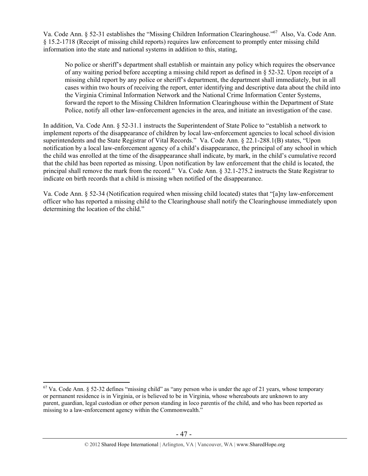Va. Code Ann. § 52-31 establishes the "Missing Children Information Clearinghouse."67 Also, Va. Code Ann. § 15.2-1718 (Receipt of missing child reports) requires law enforcement to promptly enter missing child information into the state and national systems in addition to this, stating,

No police or sheriff's department shall establish or maintain any policy which requires the observance of any waiting period before accepting a missing child report as defined in § 52-32. Upon receipt of a missing child report by any police or sheriff's department, the department shall immediately, but in all cases within two hours of receiving the report, enter identifying and descriptive data about the child into the Virginia Criminal Information Network and the National Crime Information Center Systems, forward the report to the Missing Children Information Clearinghouse within the Department of State Police, notify all other law-enforcement agencies in the area, and initiate an investigation of the case.

In addition, Va. Code Ann. § 52-31.1 instructs the Superintendent of State Police to "establish a network to implement reports of the disappearance of children by local law-enforcement agencies to local school division superintendents and the State Registrar of Vital Records." Va. Code Ann. § 22.1-288.1(B) states, "Upon notification by a local law-enforcement agency of a child's disappearance, the principal of any school in which the child was enrolled at the time of the disappearance shall indicate, by mark, in the child's cumulative record that the child has been reported as missing. Upon notification by law enforcement that the child is located, the principal shall remove the mark from the record." Va. Code Ann. § 32.1-275.2 instructs the State Registrar to indicate on birth records that a child is missing when notified of the disappearance.

Va. Code Ann. § 52-34 (Notification required when missing child located) states that "[a]ny law-enforcement officer who has reported a missing child to the Clearinghouse shall notify the Clearinghouse immediately upon determining the location of the child."

 $67$  Va. Code Ann. § 52-32 defines "missing child" as "any person who is under the age of 21 years, whose temporary or permanent residence is in Virginia, or is believed to be in Virginia, whose whereabouts are unknown to any parent, guardian, legal custodian or other person standing in loco parentis of the child, and who has been reported as missing to a law-enforcement agency within the Commonwealth."